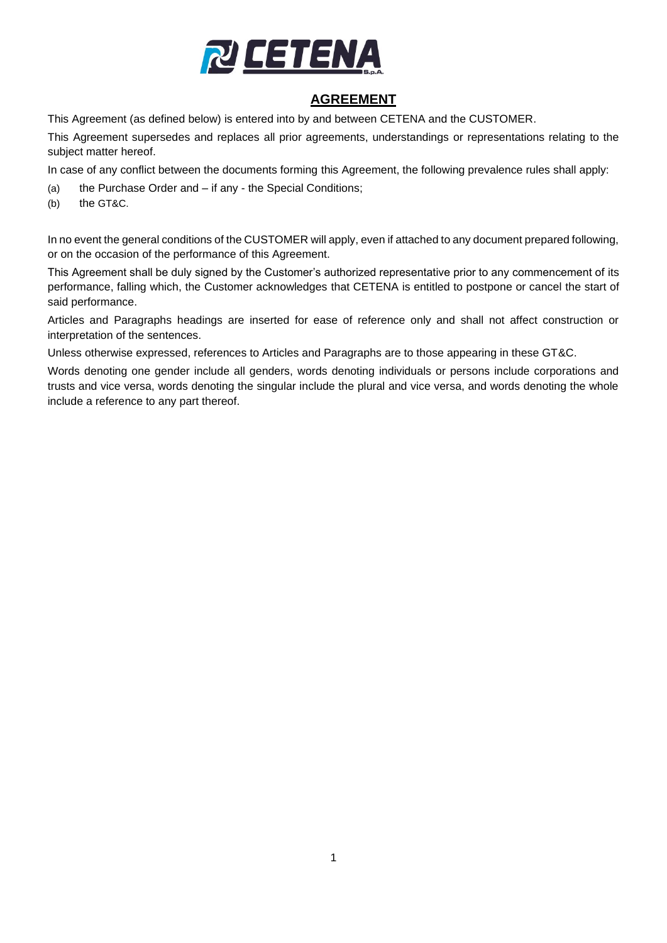

# **AGREEMENT**

This Agreement (as defined below) is entered into by and between CETENA and the CUSTOMER.

This Agreement supersedes and replaces all prior agreements, understandings or representations relating to the subject matter hereof.

In case of any conflict between the documents forming this Agreement, the following prevalence rules shall apply:

- (a) the Purchase Order and if any the Special Conditions;
- (b) the GT&C.

In no event the general conditions of the CUSTOMER will apply, even if attached to any document prepared following, or on the occasion of the performance of this Agreement.

This Agreement shall be duly signed by the Customer's authorized representative prior to any commencement of its performance, falling which, the Customer acknowledges that CETENA is entitled to postpone or cancel the start of said performance.

Articles and Paragraphs headings are inserted for ease of reference only and shall not affect construction or interpretation of the sentences.

Unless otherwise expressed, references to Articles and Paragraphs are to those appearing in these GT&C.

Words denoting one gender include all genders, words denoting individuals or persons include corporations and trusts and vice versa, words denoting the singular include the plural and vice versa, and words denoting the whole include a reference to any part thereof.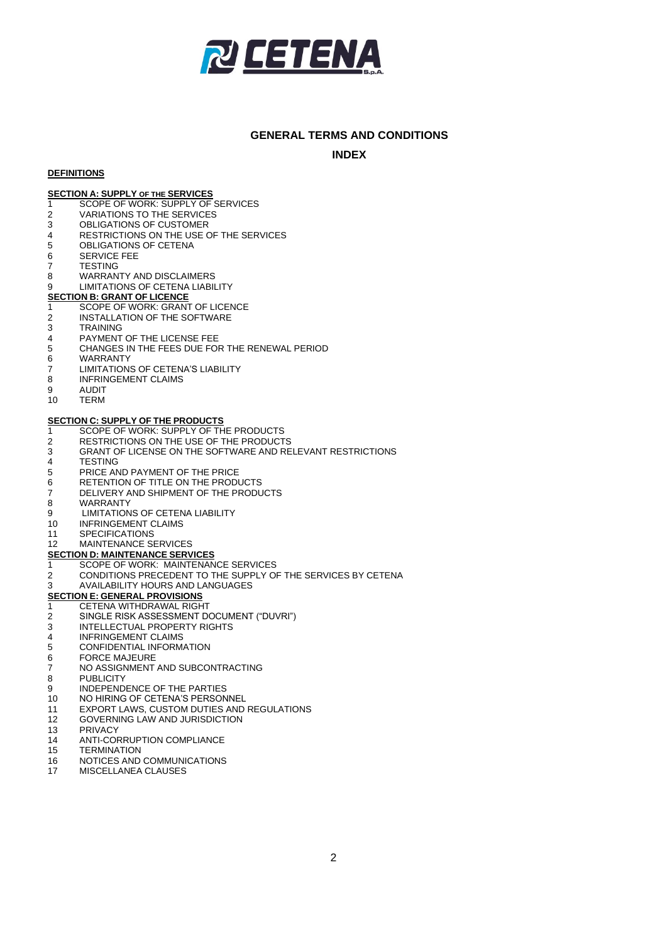

#### **GENERAL TERMS AND CONDITIONS**

**INDEX**

#### **DEFINITIONS**

#### **SECTION A: SUPPLY OF THE SERVICES**

- <span id="page-1-1"></span>1 SCOPE OF WORK: SUPPLY OF SERVICES<br>2 VARIATIONS TO THE SERVICES
- **VARIATIONS TO THE SERVICES**
- <span id="page-1-2"></span>3 OBLIGATIONS OF CUSTOMER
- 4 RESTRICTIONS ON THE USE OF THE SERVICES<br>5 OBLIGATIONS OF CETENA
- 5 OBLIGATIONS OF CETENA<br>6 SERVICE FFF
- <span id="page-1-3"></span>SERVICE FEE
- 
- <span id="page-1-10"></span>7 TESTING<br>8 WARRAN 8 WARRANTY AND DISCLAIMERS<br>9 LIMITATIONS OF CETENA LIABIL
- <span id="page-1-11"></span><span id="page-1-0"></span>LIMITATIONS OF CETENA LIABILITY

#### **SECTION B: GRANT OF LICENCE**

- <span id="page-1-4"></span>1 SCOPE OF WORK: GRANT OF LICENCE
- 2 INSTALLATION OF THE SOFTWARE<br>3 TRAINING
- **TRAINING**
- 
- <span id="page-1-5"></span>4 PAYMENT OF THE LICENSE FEE<br>5 CHANGES IN THE FEES DUE FOR 5 CHANGES IN THE FEES DUE FOR THE RENEWAL PERIOD<br>6 WARRANTY
- 
- <span id="page-1-13"></span><span id="page-1-12"></span>6 WARRANTY<br>7 I IMITATION LIMITATIONS OF CETENA'S LIABILITY
- 8 INFRINGEMENT CLAIMS<br>9 AUDIT
- 9 AUDIT<br>10 TERM
- **TERM**

#### **SECTION C: SUPPLY OF THE PRODUCTS**

- <span id="page-1-6"></span>1 SCOPE OF WORK: SUPPLY OF THE PRODUCTS<br>2 RESTRICTIONS ON THE USE OF THE PRODUCT
- <span id="page-1-14"></span>RESTRICTIONS ON THE USE OF THE PRODUCTS
- <span id="page-1-7"></span>3 GRANT OF LICENSE ON THE SOFTWARE AND RELEVANT RESTRICTIONS
- 4 TESTING<br>5 PRICE AM
- <span id="page-1-8"></span>5 PRICE AND PAYMENT OF THE PRICE<br>6 RETENTION OF TITLE ON THE PRODI
- <span id="page-1-9"></span>RETENTION OF TITLE ON THE PRODUCTS
- 7 DELIVERY AND SHIPMENT OF THE PRODUCTS<br>8 WARRANTY
- <span id="page-1-15"></span>8 WARRANTY<br>9 LIMITATION
- <span id="page-1-16"></span>LIMITATIONS OF CETENA LIABILITY
- 10 INFRINGEMENT CLAIMS<br>11 SPECIFICATIONS
- **SPECIFICATIONS**
- 12 MAINTENANCE SERVICES

#### **SECTION D: MAINTENANCE SERVICES**

- 1 SCOPE OF WORK: MAINTENANCE SERVICES
- 2 CONDITIONS PRECEDENT TO THE SUPPLY OF THE SERVICES BY CETENA<br>3 AVAILABILITY HOURS AND LANGUAGES
- 3 AVAILABILITY HOURS AND LANGUAGES

#### **SECTION E: GENERAL PROVISIONS**

- 1 CETENA WITHDRAWAL RIGHT
- 2 SINGLE RISK ASSESSMENT DOCUMENT ("DUVRI")<br>3 INTELLECTUAL PROPERTY RIGHTS
- 3 INTELLECTUAL PROPERTY RIGHTS<br>4 INFRINGEMENT CLAIMS
- 4 INFRINGEMENT CLAIMS<br>5 CONFIDENTIAL INFORM.
- 5 CONFIDENTIAL INFORMATION<br>6 FORCE MAJEURE
- 6 FORCE MAJEURE<br>7 NO ASSIGNMENT
- 7 NO ASSIGNMENT AND SUBCONTRACTING<br>8 PUBLICITY
- **PUBLICITY**
- 9 INDEPENDENCE OF THE PARTIES<br>10 NO HIRING OF CETENA'S PERSON
- NO HIRING OF CETENA'S PERSONNEL
- 11 EXPORT LAWS, CUSTOM DUTIES AND REGULATIONS
- 12 GOVERNING LAW AND JURISDICTION<br>13 PRIVACY
- **PRIVACY**
- 14 ANTI-CORRUPTION COMPLIANCE
- 15 TERMINATION
- 16 NOTICES AND COMMUNICATIONS
- 17 MISCELLANEA CLAUSES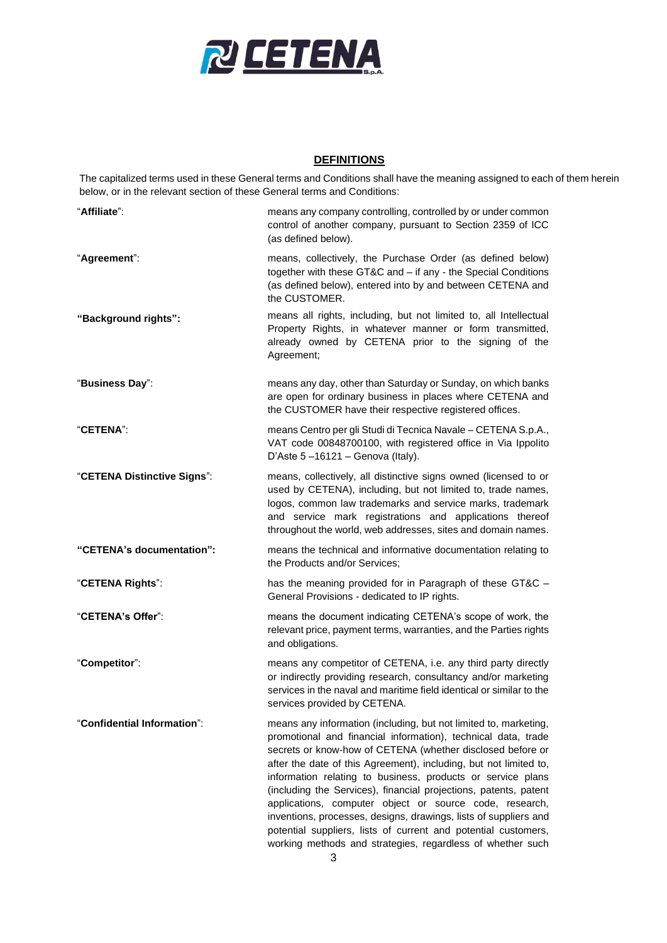

#### **DEFINITIONS**

The capitalized terms used in these General terms and Conditions shall have the meaning assigned to each of them herein below, or in the relevant section of these General terms and Conditions:

| "Affiliate":                | means any company controlling, controlled by or under common<br>control of another company, pursuant to Section 2359 of ICC<br>(as defined below).                                                                                                                                                                                                                                                                                                                                                                                                                                                                                                                     |
|-----------------------------|------------------------------------------------------------------------------------------------------------------------------------------------------------------------------------------------------------------------------------------------------------------------------------------------------------------------------------------------------------------------------------------------------------------------------------------------------------------------------------------------------------------------------------------------------------------------------------------------------------------------------------------------------------------------|
| "Agreement":                | means, collectively, the Purchase Order (as defined below)<br>together with these GT&C and - if any - the Special Conditions<br>(as defined below), entered into by and between CETENA and<br>the CUSTOMER.                                                                                                                                                                                                                                                                                                                                                                                                                                                            |
| "Background rights":        | means all rights, including, but not limited to, all Intellectual<br>Property Rights, in whatever manner or form transmitted,<br>already owned by CETENA prior to the signing of the<br>Agreement;                                                                                                                                                                                                                                                                                                                                                                                                                                                                     |
| "Business Day":             | means any day, other than Saturday or Sunday, on which banks<br>are open for ordinary business in places where CETENA and<br>the CUSTOMER have their respective registered offices.                                                                                                                                                                                                                                                                                                                                                                                                                                                                                    |
| "CETENA":                   | means Centro per gli Studi di Tecnica Navale - CETENA S.p.A.,<br>VAT code 00848700100, with registered office in Via Ippolito<br>D'Aste $5 - 16121 -$ Genova (Italy).                                                                                                                                                                                                                                                                                                                                                                                                                                                                                                  |
| "CETENA Distinctive Signs": | means, collectively, all distinctive signs owned (licensed to or<br>used by CETENA), including, but not limited to, trade names,<br>logos, common law trademarks and service marks, trademark<br>and service mark registrations and applications thereof<br>throughout the world, web addresses, sites and domain names.                                                                                                                                                                                                                                                                                                                                               |
| "CETENA's documentation":   | means the technical and informative documentation relating to<br>the Products and/or Services;                                                                                                                                                                                                                                                                                                                                                                                                                                                                                                                                                                         |
| "CETENA Rights":            | has the meaning provided for in Paragraph of these GT&C -<br>General Provisions - dedicated to IP rights.                                                                                                                                                                                                                                                                                                                                                                                                                                                                                                                                                              |
| "CETENA's Offer":           | means the document indicating CETENA's scope of work, the<br>relevant price, payment terms, warranties, and the Parties rights<br>and obligations.                                                                                                                                                                                                                                                                                                                                                                                                                                                                                                                     |
| "Competitor":               | means any competitor of CETENA, i.e. any third party directly<br>or indirectly providing research, consultancy and/or marketing<br>services in the naval and maritime field identical or similar to the<br>services provided by CETENA.                                                                                                                                                                                                                                                                                                                                                                                                                                |
| "Confidential Information": | means any information (including, but not limited to, marketing,<br>promotional and financial information), technical data, trade<br>secrets or know-how of CETENA (whether disclosed before or<br>after the date of this Agreement), including, but not limited to,<br>information relating to business, products or service plans<br>(including the Services), financial projections, patents, patent<br>applications, computer object or source code, research,<br>inventions, processes, designs, drawings, lists of suppliers and<br>potential suppliers, lists of current and potential customers,<br>working methods and strategies, regardless of whether such |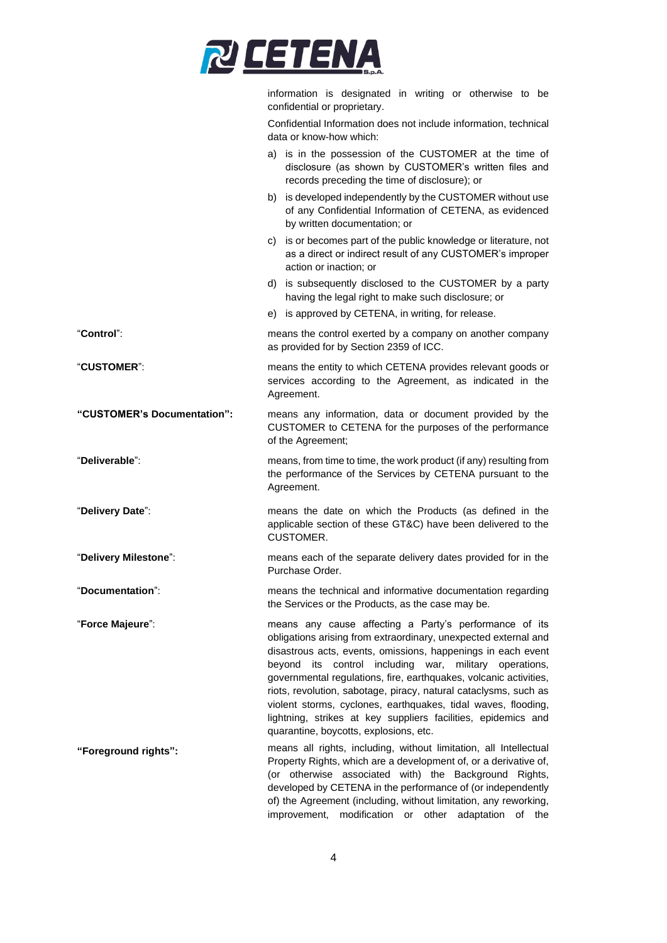

information is designated in writing or otherwise to be confidential or proprietary.

Confidential Information does not include information, technical data or know-how which:

|                             | a) is in the possession of the CUSTOMER at the time of<br>disclosure (as shown by CUSTOMER's written files and<br>records preceding the time of disclosure); or                                                                                                                                                                                                                                                                                                                                                                                                                      |  |
|-----------------------------|--------------------------------------------------------------------------------------------------------------------------------------------------------------------------------------------------------------------------------------------------------------------------------------------------------------------------------------------------------------------------------------------------------------------------------------------------------------------------------------------------------------------------------------------------------------------------------------|--|
|                             | b) is developed independently by the CUSTOMER without use<br>of any Confidential Information of CETENA, as evidenced<br>by written documentation; or                                                                                                                                                                                                                                                                                                                                                                                                                                 |  |
|                             | c) is or becomes part of the public knowledge or literature, not<br>as a direct or indirect result of any CUSTOMER's improper<br>action or inaction; or                                                                                                                                                                                                                                                                                                                                                                                                                              |  |
|                             | d) is subsequently disclosed to the CUSTOMER by a party<br>having the legal right to make such disclosure; or                                                                                                                                                                                                                                                                                                                                                                                                                                                                        |  |
|                             | e) is approved by CETENA, in writing, for release.                                                                                                                                                                                                                                                                                                                                                                                                                                                                                                                                   |  |
| "Control"∶                  | means the control exerted by a company on another company<br>as provided for by Section 2359 of ICC.                                                                                                                                                                                                                                                                                                                                                                                                                                                                                 |  |
| <b>"CUSTOMER":</b>          | means the entity to which CETENA provides relevant goods or<br>services according to the Agreement, as indicated in the<br>Agreement.                                                                                                                                                                                                                                                                                                                                                                                                                                                |  |
| "CUSTOMER's Documentation": | means any information, data or document provided by the<br>CUSTOMER to CETENA for the purposes of the performance<br>of the Agreement;                                                                                                                                                                                                                                                                                                                                                                                                                                               |  |
| "Deliverable":              | means, from time to time, the work product (if any) resulting from<br>the performance of the Services by CETENA pursuant to the<br>Agreement.                                                                                                                                                                                                                                                                                                                                                                                                                                        |  |
| "Delivery Date":            | means the date on which the Products (as defined in the<br>applicable section of these GT&C) have been delivered to the<br><b>CUSTOMER.</b>                                                                                                                                                                                                                                                                                                                                                                                                                                          |  |
| "Delivery Milestone":       | means each of the separate delivery dates provided for in the<br>Purchase Order.                                                                                                                                                                                                                                                                                                                                                                                                                                                                                                     |  |
| "Documentation":            | means the technical and informative documentation regarding<br>the Services or the Products, as the case may be.                                                                                                                                                                                                                                                                                                                                                                                                                                                                     |  |
| "Force Majeure":            | means any cause affecting a Party's performance of its<br>obligations arising from extraordinary, unexpected external and<br>disastrous acts, events, omissions, happenings in each event<br>control including<br>beyond<br>war,<br>military operations,<br>its<br>governmental regulations, fire, earthquakes, volcanic activities,<br>riots, revolution, sabotage, piracy, natural cataclysms, such as<br>violent storms, cyclones, earthquakes, tidal waves, flooding,<br>lightning, strikes at key suppliers facilities, epidemics and<br>quarantine, boycotts, explosions, etc. |  |
| "Foreground rights":        | means all rights, including, without limitation, all Intellectual<br>Property Rights, which are a development of, or a derivative of,<br>(or otherwise associated with) the Background Rights,<br>developed by CETENA in the performance of (or independently<br>of) the Agreement (including, without limitation, any reworking,<br>modification or other adaptation<br>improvement,<br>οf<br>the                                                                                                                                                                                   |  |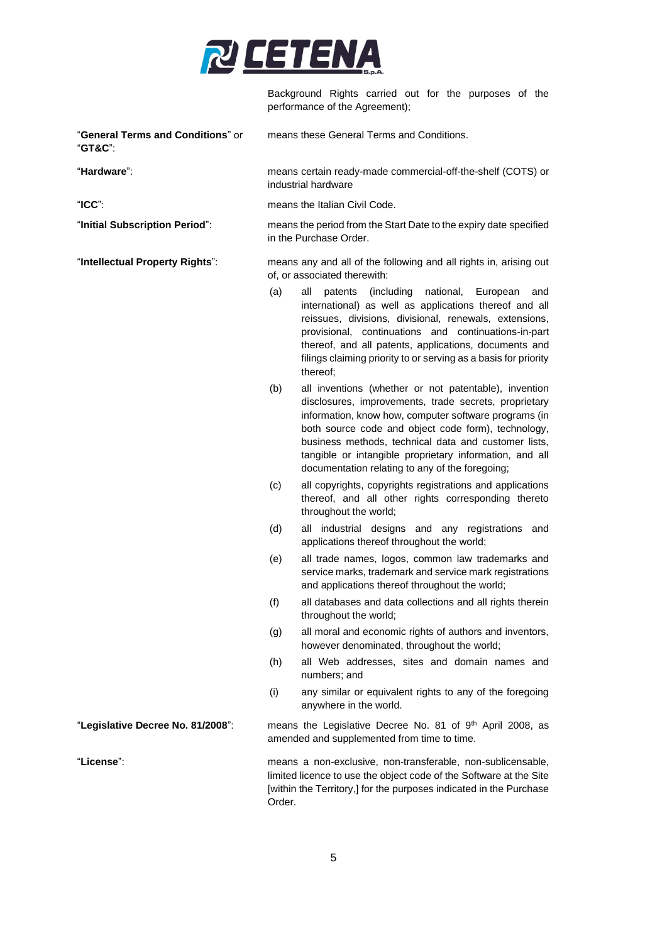

Background Rights carried out for the purposes of the performance of the Agreement);

| "General Terms and Conditions" or<br>"GT&C": |                                                                                                   | means these General Terms and Conditions.                                                                                                                                                                                                                                                                                                                                                            |
|----------------------------------------------|---------------------------------------------------------------------------------------------------|------------------------------------------------------------------------------------------------------------------------------------------------------------------------------------------------------------------------------------------------------------------------------------------------------------------------------------------------------------------------------------------------------|
| "Hardware":                                  | means certain ready-made commercial-off-the-shelf (COTS) or<br>industrial hardware                |                                                                                                                                                                                                                                                                                                                                                                                                      |
| $"ICC"$ :                                    |                                                                                                   | means the Italian Civil Code.                                                                                                                                                                                                                                                                                                                                                                        |
| "Initial Subscription Period":               |                                                                                                   | means the period from the Start Date to the expiry date specified<br>in the Purchase Order.                                                                                                                                                                                                                                                                                                          |
| "Intellectual Property Rights":              | means any and all of the following and all rights in, arising out<br>of, or associated therewith: |                                                                                                                                                                                                                                                                                                                                                                                                      |
|                                              | (a)                                                                                               | (including<br>national,<br>all<br>patents<br>European<br>and<br>international) as well as applications thereof and all<br>reissues, divisions, divisional, renewals, extensions,<br>provisional, continuations and continuations-in-part<br>thereof, and all patents, applications, documents and<br>filings claiming priority to or serving as a basis for priority<br>thereof;                     |
|                                              | (b)                                                                                               | all inventions (whether or not patentable), invention<br>disclosures, improvements, trade secrets, proprietary<br>information, know how, computer software programs (in<br>both source code and object code form), technology,<br>business methods, technical data and customer lists,<br>tangible or intangible proprietary information, and all<br>documentation relating to any of the foregoing; |
|                                              | (c)                                                                                               | all copyrights, copyrights registrations and applications<br>thereof, and all other rights corresponding thereto<br>throughout the world;                                                                                                                                                                                                                                                            |
|                                              | (d)                                                                                               | all industrial designs and any registrations and<br>applications thereof throughout the world;                                                                                                                                                                                                                                                                                                       |
|                                              | (e)                                                                                               | all trade names, logos, common law trademarks and<br>service marks, trademark and service mark registrations<br>and applications thereof throughout the world;                                                                                                                                                                                                                                       |
|                                              | (f)                                                                                               | all databases and data collections and all rights therein<br>throughout the world;                                                                                                                                                                                                                                                                                                                   |
|                                              | (g)                                                                                               | all moral and economic rights of authors and inventors,<br>however denominated, throughout the world;                                                                                                                                                                                                                                                                                                |
|                                              | (h)                                                                                               | all Web addresses, sites and domain names and<br>numbers; and                                                                                                                                                                                                                                                                                                                                        |
|                                              | (i)                                                                                               | any similar or equivalent rights to any of the foregoing<br>anywhere in the world.                                                                                                                                                                                                                                                                                                                   |
| "Legislative Decree No. 81/2008":            |                                                                                                   | means the Legislative Decree No. 81 of 9th April 2008, as<br>amended and supplemented from time to time.                                                                                                                                                                                                                                                                                             |
| "License":                                   | Order.                                                                                            | means a non-exclusive, non-transferable, non-sublicensable,<br>limited licence to use the object code of the Software at the Site<br>[within the Territory,] for the purposes indicated in the Purchase                                                                                                                                                                                              |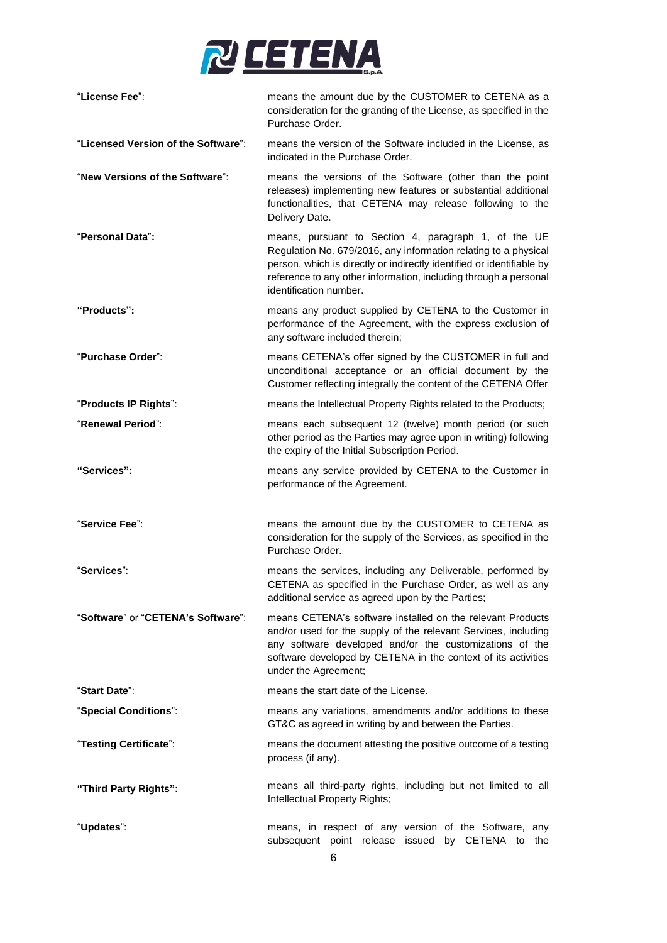

| "License Fee":                      | means the amount due by the CUSTOMER to CETENA as a<br>consideration for the granting of the License, as specified in the<br>Purchase Order.                                                                                                                                                   |
|-------------------------------------|------------------------------------------------------------------------------------------------------------------------------------------------------------------------------------------------------------------------------------------------------------------------------------------------|
| "Licensed Version of the Software": | means the version of the Software included in the License, as<br>indicated in the Purchase Order.                                                                                                                                                                                              |
| "New Versions of the Software":     | means the versions of the Software (other than the point<br>releases) implementing new features or substantial additional<br>functionalities, that CETENA may release following to the<br>Delivery Date.                                                                                       |
| "Personal Data":                    | means, pursuant to Section 4, paragraph 1, of the UE<br>Regulation No. 679/2016, any information relating to a physical<br>person, which is directly or indirectly identified or identifiable by<br>reference to any other information, including through a personal<br>identification number. |
| "Products":                         | means any product supplied by CETENA to the Customer in<br>performance of the Agreement, with the express exclusion of<br>any software included therein;                                                                                                                                       |
| "Purchase Order":                   | means CETENA's offer signed by the CUSTOMER in full and<br>unconditional acceptance or an official document by the<br>Customer reflecting integrally the content of the CETENA Offer                                                                                                           |
| "Products IP Rights":               | means the Intellectual Property Rights related to the Products;                                                                                                                                                                                                                                |
| "Renewal Period":                   | means each subsequent 12 (twelve) month period (or such<br>other period as the Parties may agree upon in writing) following<br>the expiry of the Initial Subscription Period.                                                                                                                  |
| "Services":                         | means any service provided by CETENA to the Customer in<br>performance of the Agreement.                                                                                                                                                                                                       |
| "Service Fee":                      | means the amount due by the CUSTOMER to CETENA as<br>consideration for the supply of the Services, as specified in the<br>Purchase Order.                                                                                                                                                      |
| "Services":                         | means the services, including any Deliverable, performed by<br>CETENA as specified in the Purchase Order, as well as any<br>additional service as agreed upon by the Parties;                                                                                                                  |
| "Software" or "CETENA's Software":  | means CETENA's software installed on the relevant Products<br>and/or used for the supply of the relevant Services, including<br>any software developed and/or the customizations of the<br>software developed by CETENA in the context of its activities<br>under the Agreement;               |
| "Start Date":                       | means the start date of the License.                                                                                                                                                                                                                                                           |
| "Special Conditions":               | means any variations, amendments and/or additions to these<br>GT&C as agreed in writing by and between the Parties.                                                                                                                                                                            |
| "Testing Certificate":              | means the document attesting the positive outcome of a testing<br>process (if any).                                                                                                                                                                                                            |
| "Third Party Rights":               | means all third-party rights, including but not limited to all<br>Intellectual Property Rights;                                                                                                                                                                                                |
| "Updates":                          | means, in respect of any version of the Software, any<br>subsequent point release issued<br>by CETENA to<br>the                                                                                                                                                                                |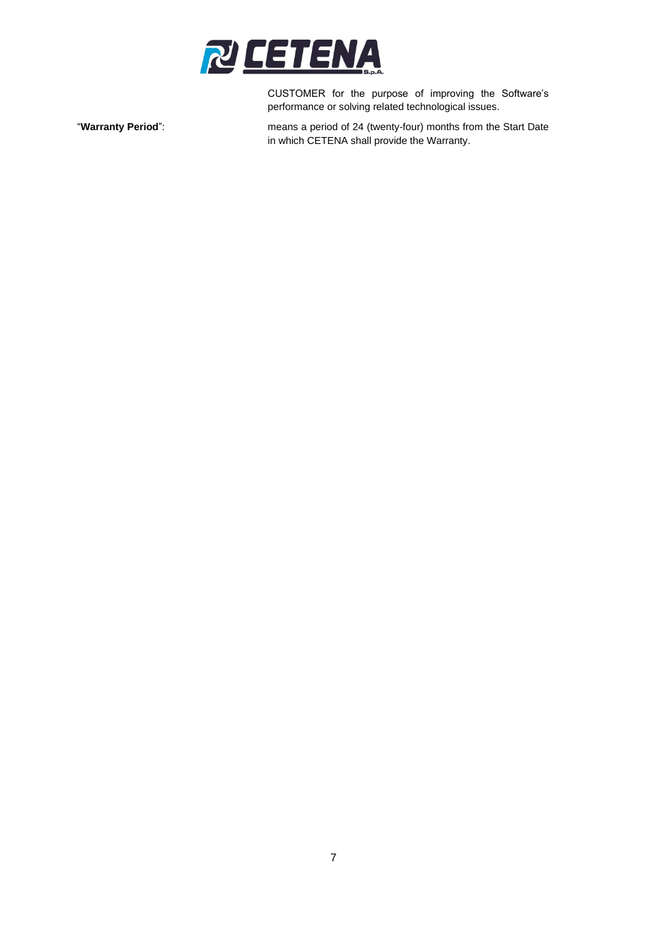

CUSTOMER for the purpose of improving the Software's performance or solving related technological issues.

"**Warranty Period**": means a period of 24 (twenty-four) months from the Start Date in which CETENA shall provide the Warranty.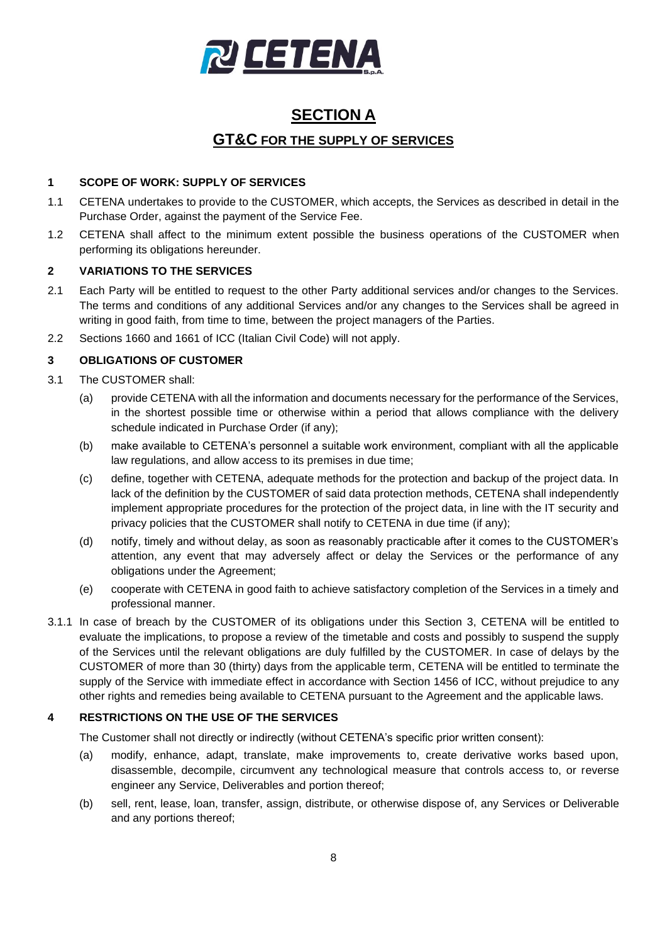

# **SECTION A GT&C FOR THE SUPPLY OF SERVICES**

#### **1 SCOPE OF WORK: SUPPLY OF SERVICES**

- 1.1 CETENA undertakes to provide to the CUSTOMER, which accepts, the Services as described in detail in the Purchase Order, against the payment of the Service Fee.
- 1.2 CETENA shall affect to the minimum extent possible the business operations of the CUSTOMER when performing its obligations hereunder.

### **2 VARIATIONS TO THE SERVICES**

- 2.1 Each Party will be entitled to request to the other Party additional services and/or changes to the Services. The terms and conditions of any additional Services and/or any changes to the Services shall be agreed in writing in good faith, from time to time, between the project managers of the Parties.
- 2.2 Sections 1660 and 1661 of ICC (Italian Civil Code) will not apply.

# <span id="page-7-0"></span>**3 OBLIGATIONS OF CUSTOMER**

- 3.1 The CUSTOMER shall:
	- (a) provide CETENA with all the information and documents necessary for the performance of the Services, in the shortest possible time or otherwise within a period that allows compliance with the delivery schedule indicated in Purchase Order (if any);
	- (b) make available to CETENA's personnel a suitable work environment, compliant with all the applicable law regulations, and allow access to its premises in due time;
	- (c) define, together with CETENA, adequate methods for the protection and backup of the project data. In lack of the definition by the CUSTOMER of said data protection methods, CETENA shall independently implement appropriate procedures for the protection of the project data, in line with the IT security and privacy policies that the CUSTOMER shall notify to CETENA in due time (if any);
	- (d) notify, timely and without delay, as soon as reasonably practicable after it comes to the CUSTOMER's attention, any event that may adversely affect or delay the Services or the performance of any obligations under the Agreement;
	- (e) cooperate with CETENA in good faith to achieve satisfactory completion of the Services in a timely and professional manner.
- 3.1.1 In case of breach by the CUSTOMER of its obligations under this Section [3,](#page-7-0) CETENA will be entitled to evaluate the implications, to propose a review of the timetable and costs and possibly to suspend the supply of the Services until the relevant obligations are duly fulfilled by the CUSTOMER. In case of delays by the CUSTOMER of more than 30 (thirty) days from the applicable term, CETENA will be entitled to terminate the supply of the Service with immediate effect in accordance with Section 1456 of ICC, without prejudice to any other rights and remedies being available to CETENA pursuant to the Agreement and the applicable laws.

#### **4 RESTRICTIONS ON THE USE OF THE SERVICES**

The Customer shall not directly or indirectly (without CETENA's specific prior written consent):

- (a) modify, enhance, adapt, translate, make improvements to, create derivative works based upon, disassemble, decompile, circumvent any technological measure that controls access to, or reverse engineer any Service, Deliverables and portion thereof;
- (b) sell, rent, lease, loan, transfer, assign, distribute, or otherwise dispose of, any Services or Deliverable and any portions thereof;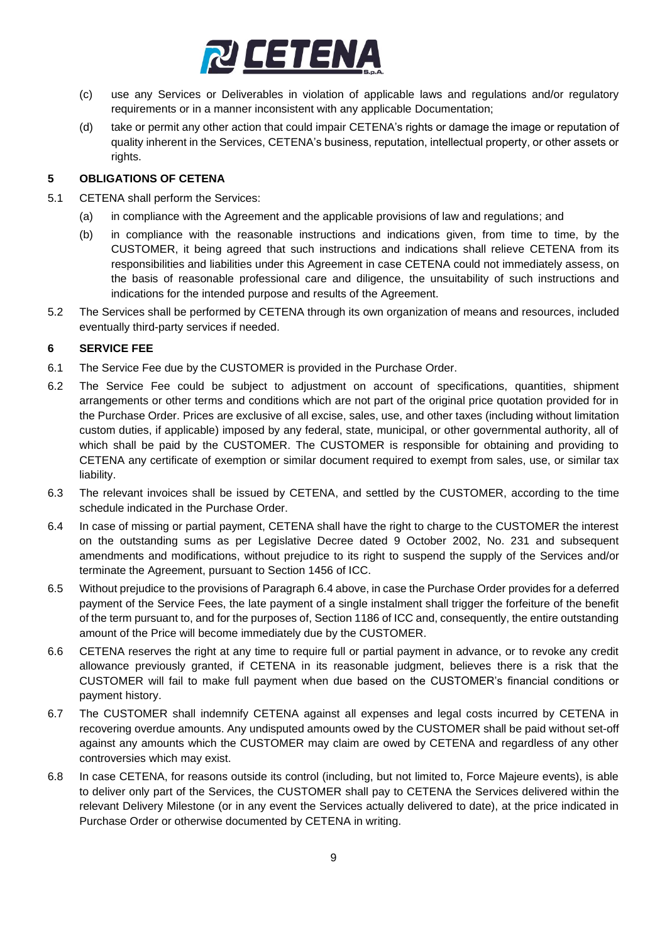

- (c) use any Services or Deliverables in violation of applicable laws and regulations and/or regulatory requirements or in a manner inconsistent with any applicable Documentation;
- (d) take or permit any other action that could impair CETENA's rights or damage the image or reputation of quality inherent in the Services, CETENA's business, reputation, intellectual property, or other assets or rights.

#### **5 OBLIGATIONS OF CETENA**

- 5.1 CETENA shall perform the Services:
	- (a) in compliance with the Agreement and the applicable provisions of law and regulations; and
	- (b) in compliance with the reasonable instructions and indications given, from time to time, by the CUSTOMER, it being agreed that such instructions and indications shall relieve CETENA from its responsibilities and liabilities under this Agreement in case CETENA could not immediately assess, on the basis of reasonable professional care and diligence, the unsuitability of such instructions and indications for the intended purpose and results of the Agreement.
- 5.2 The Services shall be performed by CETENA through its own organization of means and resources, included eventually third-party services if needed.

#### **6 SERVICE FEE**

- 6.1 The Service Fee due by the CUSTOMER is provided in the Purchase Order.
- 6.2 The Service Fee could be subject to adjustment on account of specifications, quantities, shipment arrangements or other terms and conditions which are not part of the original price quotation provided for in the Purchase Order. Prices are exclusive of all excise, sales, use, and other taxes (including without limitation custom duties, if applicable) imposed by any federal, state, municipal, or other governmental authority, all of which shall be paid by the CUSTOMER. The CUSTOMER is responsible for obtaining and providing to CETENA any certificate of exemption or similar document required to exempt from sales, use, or similar tax liability.
- 6.3 The relevant invoices shall be issued by CETENA, and settled by the CUSTOMER, according to the time schedule indicated in the Purchase Order.
- 6.4 In case of missing or partial payment, CETENA shall have the right to charge to the CUSTOMER the interest on the outstanding sums as per Legislative Decree dated 9 October 2002, No. 231 and subsequent amendments and modifications, without prejudice to its right to suspend the supply of the Services and/or terminate the Agreement, pursuant to Section 1456 of ICC.
- 6.5 Without prejudice to the provisions of Paragraph 6.4 above, in case the Purchase Order provides for a deferred payment of the Service Fees, the late payment of a single instalment shall trigger the forfeiture of the benefit of the term pursuant to, and for the purposes of, Section 1186 of ICC and, consequently, the entire outstanding amount of the Price will become immediately due by the CUSTOMER.
- 6.6 CETENA reserves the right at any time to require full or partial payment in advance, or to revoke any credit allowance previously granted, if CETENA in its reasonable judgment, believes there is a risk that the CUSTOMER will fail to make full payment when due based on the CUSTOMER's financial conditions or payment history.
- 6.7 The CUSTOMER shall indemnify CETENA against all expenses and legal costs incurred by CETENA in recovering overdue amounts. Any undisputed amounts owed by the CUSTOMER shall be paid without set-off against any amounts which the CUSTOMER may claim are owed by CETENA and regardless of any other controversies which may exist.
- 6.8 In case CETENA, for reasons outside its control (including, but not limited to, Force Majeure events), is able to deliver only part of the Services, the CUSTOMER shall pay to CETENA the Services delivered within the relevant Delivery Milestone (or in any event the Services actually delivered to date), at the price indicated in Purchase Order or otherwise documented by CETENA in writing.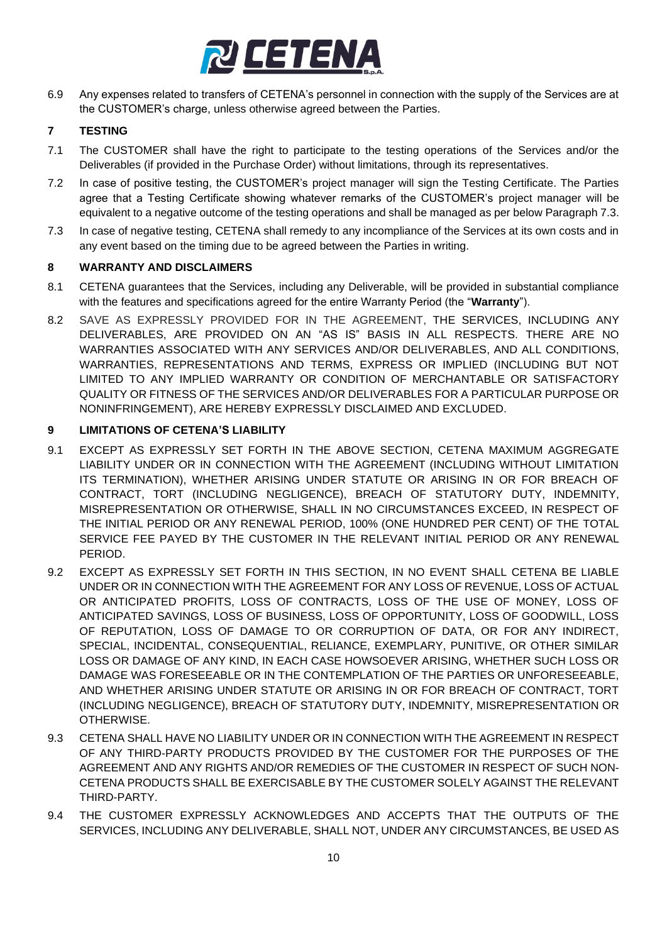

6.9 Any expenses related to transfers of CETENA's personnel in connection with the supply of the Services are at the CUSTOMER's charge, unless otherwise agreed between the Parties.

### **7 TESTING**

- 7.1 The CUSTOMER shall have the right to participate to the testing operations of the Services and/or the Deliverables (if provided in the Purchase Order) without limitations, through its representatives.
- 7.2 In case of positive testing, the CUSTOMER's project manager will sign the Testing Certificate. The Parties agree that a Testing Certificate showing whatever remarks of the CUSTOMER's project manager will be equivalent to a negative outcome of the testing operations and shall be managed as per below Paragraph [7.3.](#page-9-0)
- <span id="page-9-0"></span>7.3 In case of negative testing, CETENA shall remedy to any incompliance of the Services at its own costs and in any event based on the timing due to be agreed between the Parties in writing.

#### **8 WARRANTY AND DISCLAIMERS**

- <span id="page-9-1"></span>8.1 CETENA guarantees that the Services, including any Deliverable, will be provided in substantial compliance with the features and specifications agreed for the entire Warranty Period (the "**Warranty**").
- 8.2 SAVE AS EXPRESSLY PROVIDED FOR IN THE AGREEMENT, THE SERVICES, INCLUDING ANY DELIVERABLES, ARE PROVIDED ON AN "AS IS" BASIS IN ALL RESPECTS. THERE ARE NO WARRANTIES ASSOCIATED WITH ANY SERVICES AND/OR DELIVERABLES, AND ALL CONDITIONS, WARRANTIES, REPRESENTATIONS AND TERMS, EXPRESS OR IMPLIED (INCLUDING BUT NOT LIMITED TO ANY IMPLIED WARRANTY OR CONDITION OF MERCHANTABLE OR SATISFACTORY QUALITY OR FITNESS OF THE SERVICES AND/OR DELIVERABLES FOR A PARTICULAR PURPOSE OR NONINFRINGEMENT), ARE HEREBY EXPRESSLY DISCLAIMED AND EXCLUDED.

#### **9 LIMITATIONS OF CETENA'S LIABILITY**

- 9.1 EXCEPT AS EXPRESSLY SET FORTH IN THE ABOVE SECTION, CETENA MAXIMUM AGGREGATE LIABILITY UNDER OR IN CONNECTION WITH THE AGREEMENT (INCLUDING WITHOUT LIMITATION ITS TERMINATION), WHETHER ARISING UNDER STATUTE OR ARISING IN OR FOR BREACH OF CONTRACT, TORT (INCLUDING NEGLIGENCE), BREACH OF STATUTORY DUTY, INDEMNITY, MISREPRESENTATION OR OTHERWISE, SHALL IN NO CIRCUMSTANCES EXCEED, IN RESPECT OF THE INITIAL PERIOD OR ANY RENEWAL PERIOD, 100% (ONE HUNDRED PER CENT) OF THE TOTAL SERVICE FEE PAYED BY THE CUSTOMER IN THE RELEVANT INITIAL PERIOD OR ANY RENEWAL PERIOD.
- 9.2 EXCEPT AS EXPRESSLY SET FORTH IN THIS SECTION, IN NO EVENT SHALL CETENA BE LIABLE UNDER OR IN CONNECTION WITH THE AGREEMENT FOR ANY LOSS OF REVENUE, LOSS OF ACTUAL OR ANTICIPATED PROFITS, LOSS OF CONTRACTS, LOSS OF THE USE OF MONEY, LOSS OF ANTICIPATED SAVINGS, LOSS OF BUSINESS, LOSS OF OPPORTUNITY, LOSS OF GOODWILL, LOSS OF REPUTATION, LOSS OF DAMAGE TO OR CORRUPTION OF DATA, OR FOR ANY INDIRECT, SPECIAL, INCIDENTAL, CONSEQUENTIAL, RELIANCE, EXEMPLARY, PUNITIVE, OR OTHER SIMILAR LOSS OR DAMAGE OF ANY KIND, IN EACH CASE HOWSOEVER ARISING, WHETHER SUCH LOSS OR DAMAGE WAS FORESEEABLE OR IN THE CONTEMPLATION OF THE PARTIES OR UNFORESEEABLE, AND WHETHER ARISING UNDER STATUTE OR ARISING IN OR FOR BREACH OF CONTRACT, TORT (INCLUDING NEGLIGENCE), BREACH OF STATUTORY DUTY, INDEMNITY, MISREPRESENTATION OR OTHERWISE.
- 9.3 CETENA SHALL HAVE NO LIABILITY UNDER OR IN CONNECTION WITH THE AGREEMENT IN RESPECT OF ANY THIRD-PARTY PRODUCTS PROVIDED BY THE CUSTOMER FOR THE PURPOSES OF THE AGREEMENT AND ANY RIGHTS AND/OR REMEDIES OF THE CUSTOMER IN RESPECT OF SUCH NON-CETENA PRODUCTS SHALL BE EXERCISABLE BY THE CUSTOMER SOLELY AGAINST THE RELEVANT THIRD-PARTY.
- 9.4 THE CUSTOMER EXPRESSLY ACKNOWLEDGES AND ACCEPTS THAT THE OUTPUTS OF THE SERVICES, INCLUDING ANY DELIVERABLE, SHALL NOT, UNDER ANY CIRCUMSTANCES, BE USED AS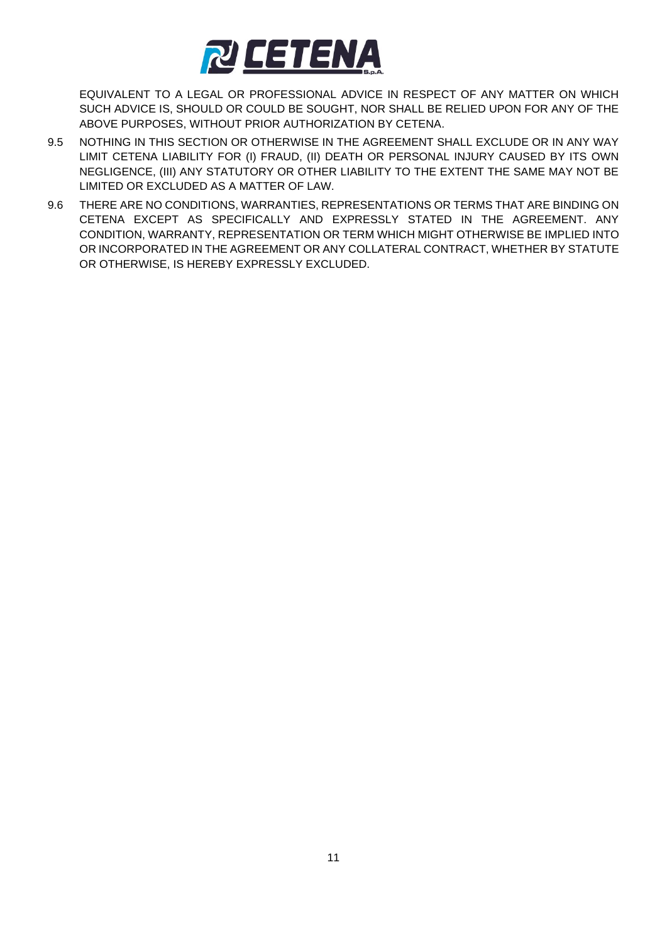

EQUIVALENT TO A LEGAL OR PROFESSIONAL ADVICE IN RESPECT OF ANY MATTER ON WHICH SUCH ADVICE IS, SHOULD OR COULD BE SOUGHT, NOR SHALL BE RELIED UPON FOR ANY OF THE ABOVE PURPOSES, WITHOUT PRIOR AUTHORIZATION BY CETENA.

- 9.5 NOTHING IN THIS SECTION OR OTHERWISE IN THE AGREEMENT SHALL EXCLUDE OR IN ANY WAY LIMIT CETENA LIABILITY FOR (I) FRAUD, (II) DEATH OR PERSONAL INJURY CAUSED BY ITS OWN NEGLIGENCE, (III) ANY STATUTORY OR OTHER LIABILITY TO THE EXTENT THE SAME MAY NOT BE LIMITED OR EXCLUDED AS A MATTER OF LAW.
- 9.6 THERE ARE NO CONDITIONS, WARRANTIES, REPRESENTATIONS OR TERMS THAT ARE BINDING ON CETENA EXCEPT AS SPECIFICALLY AND EXPRESSLY STATED IN THE AGREEMENT. ANY CONDITION, WARRANTY, REPRESENTATION OR TERM WHICH MIGHT OTHERWISE BE IMPLIED INTO OR INCORPORATED IN THE AGREEMENT OR ANY COLLATERAL CONTRACT, WHETHER BY STATUTE OR OTHERWISE, IS HEREBY EXPRESSLY EXCLUDED.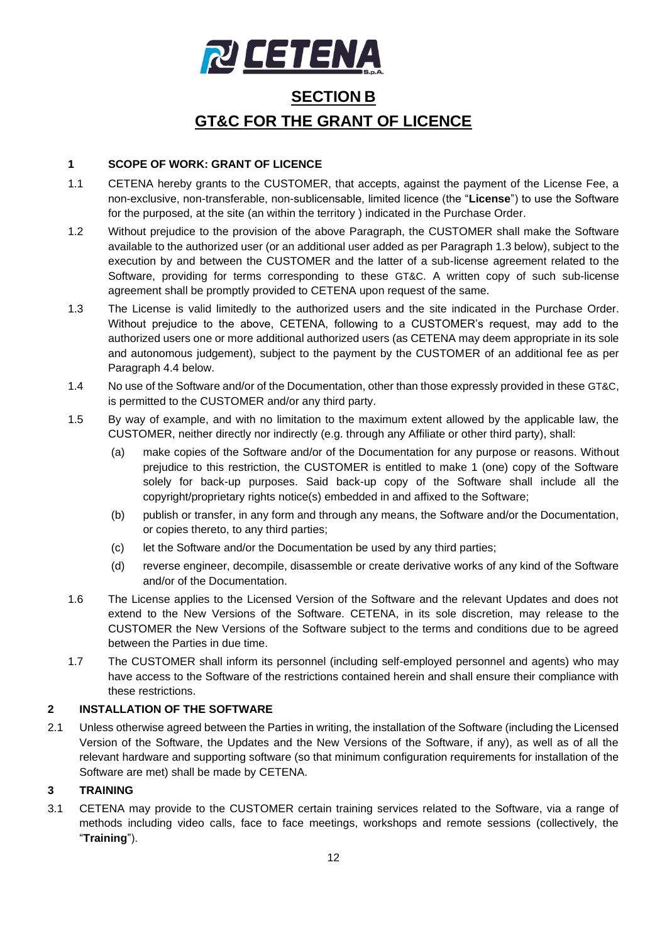

# **SECTION B GT&C FOR THE GRANT OF LICENCE**

## **1 SCOPE OF WORK: GRANT OF LICENCE**

- 1.1 CETENA hereby grants to the CUSTOMER, that accepts, against the payment of the License Fee, a non-exclusive, non-transferable, non-sublicensable, limited licence (the "**License**") to use the Software for the purposed, at the site (an within the territory ) indicated in the Purchase Order.
- 1.2 Without prejudice to the provision of the above Paragraph, the CUSTOMER shall make the Software available to the authorized user (or an additional user added as per Paragraph [1.3](#page-11-0) below), subject to the execution by and between the CUSTOMER and the latter of a sub-license agreement related to the Software, providing for terms corresponding to these GT&C. A written copy of such sub-license agreement shall be promptly provided to CETENA upon request of the same.
- <span id="page-11-0"></span>1.3 The License is valid limitedly to the authorized users and the site indicated in the Purchase Order. Without prejudice to the above, CETENA, following to a CUSTOMER's request, may add to the authorized users one or more additional authorized users (as CETENA may deem appropriate in its sole and autonomous judgement), subject to the payment by the CUSTOMER of an additional fee as per Paragraph 4.4 below.
- 1.4 No use of the Software and/or of the Documentation, other than those expressly provided in these GT&C, is permitted to the CUSTOMER and/or any third party.
- 1.5 By way of example, and with no limitation to the maximum extent allowed by the applicable law, the CUSTOMER, neither directly nor indirectly (e.g. through any Affiliate or other third party), shall:
	- (a) make copies of the Software and/or of the Documentation for any purpose or reasons. Without prejudice to this restriction, the CUSTOMER is entitled to make 1 (one) copy of the Software solely for back-up purposes. Said back-up copy of the Software shall include all the copyright/proprietary rights notice(s) embedded in and affixed to the Software;
	- (b) publish or transfer, in any form and through any means, the Software and/or the Documentation, or copies thereto, to any third parties;
	- (c) let the Software and/or the Documentation be used by any third parties;
	- (d) reverse engineer, decompile, disassemble or create derivative works of any kind of the Software and/or of the Documentation.
- 1.6 The License applies to the Licensed Version of the Software and the relevant Updates and does not extend to the New Versions of the Software. CETENA, in its sole discretion, may release to the CUSTOMER the New Versions of the Software subject to the terms and conditions due to be agreed between the Parties in due time.
- 1.7 The CUSTOMER shall inform its personnel (including self-employed personnel and agents) who may have access to the Software of the restrictions contained herein and shall ensure their compliance with these restrictions.

#### **2 INSTALLATION OF THE SOFTWARE**

2.1 Unless otherwise agreed between the Parties in writing, the installation of the Software (including the Licensed Version of the Software, the Updates and the New Versions of the Software, if any), as well as of all the relevant hardware and supporting software (so that minimum configuration requirements for installation of the Software are met) shall be made by CETENA.

#### **3 TRAINING**

3.1 CETENA may provide to the CUSTOMER certain training services related to the Software, via a range of methods including video calls, face to face meetings, workshops and remote sessions (collectively, the "**Training**").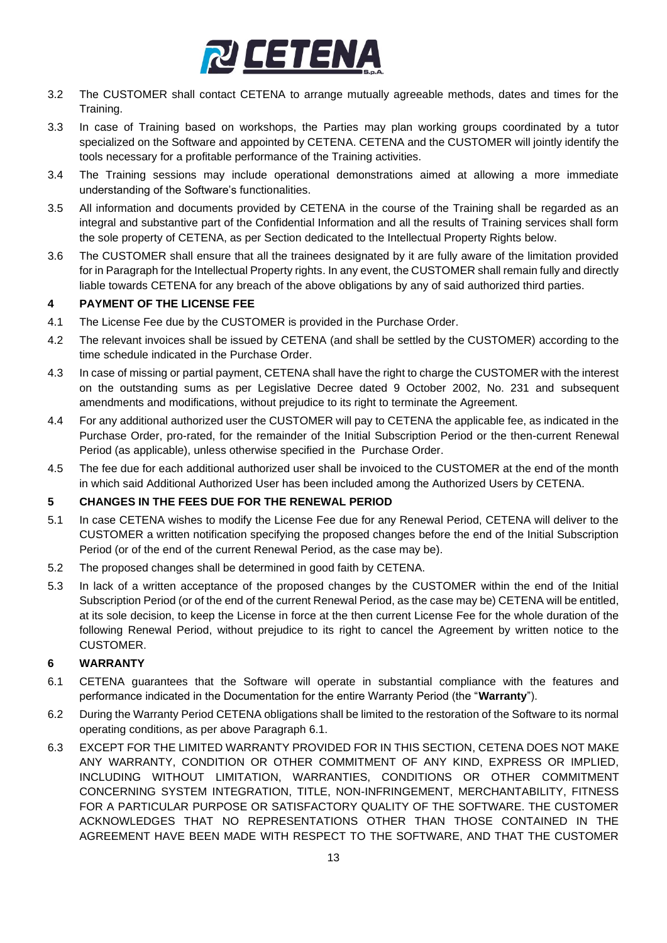

- 3.2 The CUSTOMER shall contact CETENA to arrange mutually agreeable methods, dates and times for the Training.
- 3.3 In case of Training based on workshops, the Parties may plan working groups coordinated by a tutor specialized on the Software and appointed by CETENA. CETENA and the CUSTOMER will jointly identify the tools necessary for a profitable performance of the Training activities.
- 3.4 The Training sessions may include operational demonstrations aimed at allowing a more immediate understanding of the Software's functionalities.
- 3.5 All information and documents provided by CETENA in the course of the Training shall be regarded as an integral and substantive part of the Confidential Information and all the results of Training services shall form the sole property of CETENA, as per Section dedicated to the Intellectual Property Rights below.
- 3.6 The CUSTOMER shall ensure that all the trainees designated by it are fully aware of the limitation provided for in Paragraph for the Intellectual Property rights. In any event, the CUSTOMER shall remain fully and directly liable towards CETENA for any breach of the above obligations by any of said authorized third parties.

### **4 PAYMENT OF THE LICENSE FEE**

- 4.1 The License Fee due by the CUSTOMER is provided in the Purchase Order.
- 4.2 The relevant invoices shall be issued by CETENA (and shall be settled by the CUSTOMER) according to the time schedule indicated in the Purchase Order.
- 4.3 In case of missing or partial payment, CETENA shall have the right to charge the CUSTOMER with the interest on the outstanding sums as per Legislative Decree dated 9 October 2002, No. 231 and subsequent amendments and modifications, without prejudice to its right to terminate the Agreement.
- 4.4 For any additional authorized user the CUSTOMER will pay to CETENA the applicable fee, as indicated in the Purchase Order, pro-rated, for the remainder of the Initial Subscription Period or the then-current Renewal Period (as applicable), unless otherwise specified in the Purchase Order.
- 4.5 The fee due for each additional authorized user shall be invoiced to the CUSTOMER at the end of the month in which said Additional Authorized User has been included among the Authorized Users by CETENA.

#### **5 CHANGES IN THE FEES DUE FOR THE RENEWAL PERIOD**

- 5.1 In case CETENA wishes to modify the License Fee due for any Renewal Period, CETENA will deliver to the CUSTOMER a written notification specifying the proposed changes before the end of the Initial Subscription Period (or of the end of the current Renewal Period, as the case may be).
- 5.2 The proposed changes shall be determined in good faith by CETENA.
- 5.3 In lack of a written acceptance of the proposed changes by the CUSTOMER within the end of the Initial Subscription Period (or of the end of the current Renewal Period, as the case may be) CETENA will be entitled, at its sole decision, to keep the License in force at the then current License Fee for the whole duration of the following Renewal Period, without prejudice to its right to cancel the Agreement by written notice to the CUSTOMER.

#### **6 WARRANTY**

- 6.1 CETENA guarantees that the Software will operate in substantial compliance with the features and performance indicated in the Documentation for the entire Warranty Period (the "**Warranty**").
- 6.2 During the Warranty Period CETENA obligations shall be limited to the restoration of the Software to its normal operating conditions, as per above Paragraph 6.1.
- 6.3 EXCEPT FOR THE LIMITED WARRANTY PROVIDED FOR IN THIS SECTION, CETENA DOES NOT MAKE ANY WARRANTY, CONDITION OR OTHER COMMITMENT OF ANY KIND, EXPRESS OR IMPLIED, INCLUDING WITHOUT LIMITATION, WARRANTIES, CONDITIONS OR OTHER COMMITMENT CONCERNING SYSTEM INTEGRATION, TITLE, NON-INFRINGEMENT, MERCHANTABILITY, FITNESS FOR A PARTICULAR PURPOSE OR SATISFACTORY QUALITY OF THE SOFTWARE. THE CUSTOMER ACKNOWLEDGES THAT NO REPRESENTATIONS OTHER THAN THOSE CONTAINED IN THE AGREEMENT HAVE BEEN MADE WITH RESPECT TO THE SOFTWARE, AND THAT THE CUSTOMER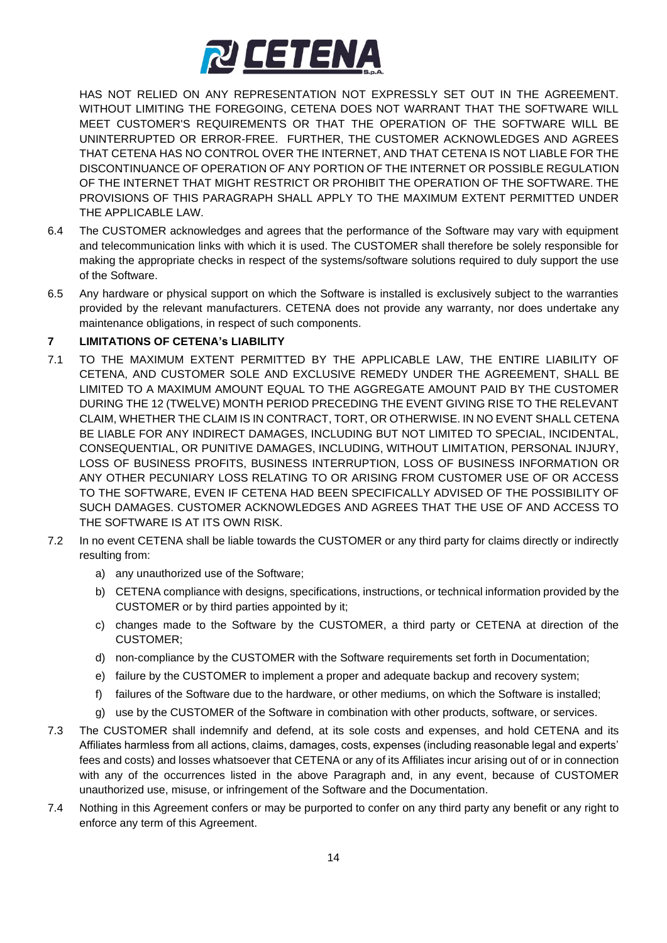

HAS NOT RELIED ON ANY REPRESENTATION NOT EXPRESSLY SET OUT IN THE AGREEMENT. WITHOUT LIMITING THE FOREGOING, CETENA DOES NOT WARRANT THAT THE SOFTWARE WILL MEET CUSTOMER'S REQUIREMENTS OR THAT THE OPERATION OF THE SOFTWARE WILL BE UNINTERRUPTED OR ERROR-FREE. FURTHER, THE CUSTOMER ACKNOWLEDGES AND AGREES THAT CETENA HAS NO CONTROL OVER THE INTERNET, AND THAT CETENA IS NOT LIABLE FOR THE DISCONTINUANCE OF OPERATION OF ANY PORTION OF THE INTERNET OR POSSIBLE REGULATION OF THE INTERNET THAT MIGHT RESTRICT OR PROHIBIT THE OPERATION OF THE SOFTWARE. THE PROVISIONS OF THIS PARAGRAPH SHALL APPLY TO THE MAXIMUM EXTENT PERMITTED UNDER THE APPLICABLE LAW.

- 6.4 The CUSTOMER acknowledges and agrees that the performance of the Software may vary with equipment and telecommunication links with which it is used. The CUSTOMER shall therefore be solely responsible for making the appropriate checks in respect of the systems/software solutions required to duly support the use of the Software.
- 6.5 Any hardware or physical support on which the Software is installed is exclusively subject to the warranties provided by the relevant manufacturers. CETENA does not provide any warranty, nor does undertake any maintenance obligations, in respect of such components.

### **7 LIMITATIONS OF CETENA's LIABILITY**

- 7.1 TO THE MAXIMUM EXTENT PERMITTED BY THE APPLICABLE LAW, THE ENTIRE LIABILITY OF CETENA, AND CUSTOMER SOLE AND EXCLUSIVE REMEDY UNDER THE AGREEMENT, SHALL BE LIMITED TO A MAXIMUM AMOUNT EQUAL TO THE AGGREGATE AMOUNT PAID BY THE CUSTOMER DURING THE 12 (TWELVE) MONTH PERIOD PRECEDING THE EVENT GIVING RISE TO THE RELEVANT CLAIM, WHETHER THE CLAIM IS IN CONTRACT, TORT, OR OTHERWISE. IN NO EVENT SHALL CETENA BE LIABLE FOR ANY INDIRECT DAMAGES, INCLUDING BUT NOT LIMITED TO SPECIAL, INCIDENTAL, CONSEQUENTIAL, OR PUNITIVE DAMAGES, INCLUDING, WITHOUT LIMITATION, PERSONAL INJURY, LOSS OF BUSINESS PROFITS, BUSINESS INTERRUPTION, LOSS OF BUSINESS INFORMATION OR ANY OTHER PECUNIARY LOSS RELATING TO OR ARISING FROM CUSTOMER USE OF OR ACCESS TO THE SOFTWARE, EVEN IF CETENA HAD BEEN SPECIFICALLY ADVISED OF THE POSSIBILITY OF SUCH DAMAGES. CUSTOMER ACKNOWLEDGES AND AGREES THAT THE USE OF AND ACCESS TO THE SOFTWARE IS AT ITS OWN RISK.
- 7.2 In no event CETENA shall be liable towards the CUSTOMER or any third party for claims directly or indirectly resulting from:
	- a) any unauthorized use of the Software;
	- b) CETENA compliance with designs, specifications, instructions, or technical information provided by the CUSTOMER or by third parties appointed by it;
	- c) changes made to the Software by the CUSTOMER, a third party or CETENA at direction of the CUSTOMER;
	- d) non-compliance by the CUSTOMER with the Software requirements set forth in Documentation;
	- e) failure by the CUSTOMER to implement a proper and adequate backup and recovery system;
	- f) failures of the Software due to the hardware, or other mediums, on which the Software is installed;
	- g) use by the CUSTOMER of the Software in combination with other products, software, or services.
- 7.3 The CUSTOMER shall indemnify and defend, at its sole costs and expenses, and hold CETENA and its Affiliates harmless from all actions, claims, damages, costs, expenses (including reasonable legal and experts' fees and costs) and losses whatsoever that CETENA or any of its Affiliates incur arising out of or in connection with any of the occurrences listed in the above Paragraph and, in any event, because of CUSTOMER unauthorized use, misuse, or infringement of the Software and the Documentation.
- 7.4 Nothing in this Agreement confers or may be purported to confer on any third party any benefit or any right to enforce any term of this Agreement.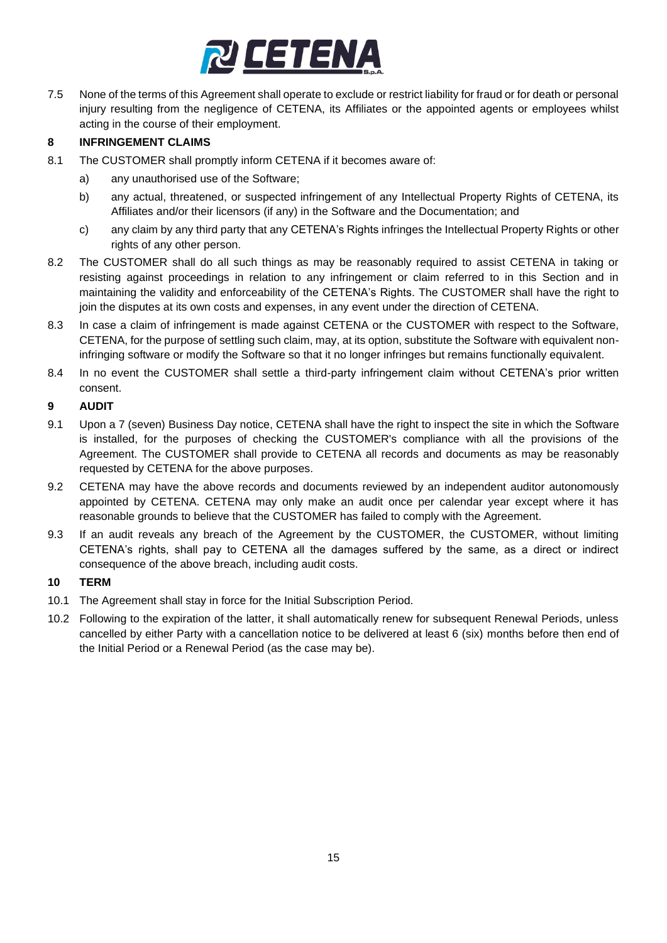

7.5 None of the terms of this Agreement shall operate to exclude or restrict liability for fraud or for death or personal injury resulting from the negligence of CETENA, its Affiliates or the appointed agents or employees whilst acting in the course of their employment.

### **8 INFRINGEMENT CLAIMS**

- 8.1 The CUSTOMER shall promptly inform CETENA if it becomes aware of:
	- a) any unauthorised use of the Software;
	- b) any actual, threatened, or suspected infringement of any Intellectual Property Rights of CETENA, its Affiliates and/or their licensors (if any) in the Software and the Documentation; and
	- c) any claim by any third party that any CETENA's Rights infringes the Intellectual Property Rights or other rights of any other person.
- 8.2 The CUSTOMER shall do all such things as may be reasonably required to assist CETENA in taking or resisting against proceedings in relation to any infringement or claim referred to in this Section and in maintaining the validity and enforceability of the CETENA's Rights. The CUSTOMER shall have the right to join the disputes at its own costs and expenses, in any event under the direction of CETENA.
- 8.3 In case a claim of infringement is made against CETENA or the CUSTOMER with respect to the Software, CETENA, for the purpose of settling such claim, may, at its option, substitute the Software with equivalent noninfringing software or modify the Software so that it no longer infringes but remains functionally equivalent.
- 8.4 In no event the CUSTOMER shall settle a third-party infringement claim without CETENA's prior written consent.

### **9 AUDIT**

- 9.1 Upon a 7 (seven) Business Day notice, CETENA shall have the right to inspect the site in which the Software is installed, for the purposes of checking the CUSTOMER's compliance with all the provisions of the Agreement. The CUSTOMER shall provide to CETENA all records and documents as may be reasonably requested by CETENA for the above purposes.
- 9.2 CETENA may have the above records and documents reviewed by an independent auditor autonomously appointed by CETENA. CETENA may only make an audit once per calendar year except where it has reasonable grounds to believe that the CUSTOMER has failed to comply with the Agreement.
- 9.3 If an audit reveals any breach of the Agreement by the CUSTOMER, the CUSTOMER, without limiting CETENA's rights, shall pay to CETENA all the damages suffered by the same, as a direct or indirect consequence of the above breach, including audit costs.

#### **10 TERM**

- 10.1 The Agreement shall stay in force for the Initial Subscription Period.
- 10.2 Following to the expiration of the latter, it shall automatically renew for subsequent Renewal Periods, unless cancelled by either Party with a cancellation notice to be delivered at least 6 (six) months before then end of the Initial Period or a Renewal Period (as the case may be).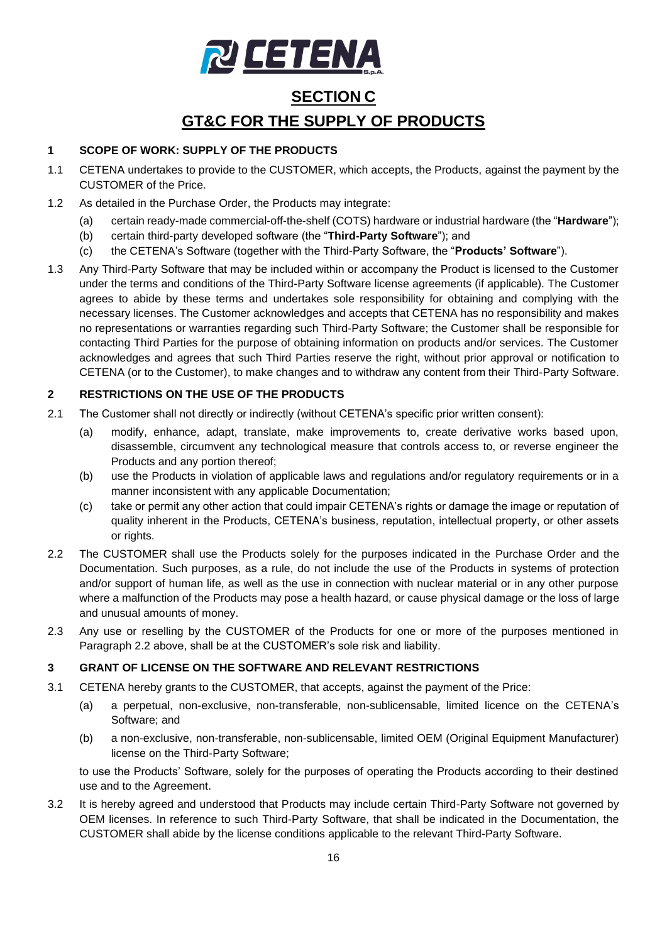

# **SECTION C GT&C FOR THE SUPPLY OF PRODUCTS**

# **1 SCOPE OF WORK: SUPPLY OF THE PRODUCTS**

- 1.1 CETENA undertakes to provide to the CUSTOMER, which accepts, the Products, against the payment by the CUSTOMER of the Price.
- 1.2 As detailed in the Purchase Order, the Products may integrate:
	- (a) certain ready-made commercial-off-the-shelf (COTS) hardware or industrial hardware (the "**Hardware**");
	- (b) certain third-party developed software (the "**Third-Party Software**"); and
	- (c) the CETENA's Software (together with the Third-Party Software, the "**Products' Software**").
- 1.3 Any Third-Party Software that may be included within or accompany the Product is licensed to the Customer under the terms and conditions of the Third-Party Software license agreements (if applicable). The Customer agrees to abide by these terms and undertakes sole responsibility for obtaining and complying with the necessary licenses. The Customer acknowledges and accepts that CETENA has no responsibility and makes no representations or warranties regarding such Third-Party Software; the Customer shall be responsible for contacting Third Parties for the purpose of obtaining information on products and/or services. The Customer acknowledges and agrees that such Third Parties reserve the right, without prior approval or notification to CETENA (or to the Customer), to make changes and to withdraw any content from their Third-Party Software.

### **2 RESTRICTIONS ON THE USE OF THE PRODUCTS**

- 2.1 The Customer shall not directly or indirectly (without CETENA's specific prior written consent):
	- (a) modify, enhance, adapt, translate, make improvements to, create derivative works based upon, disassemble, circumvent any technological measure that controls access to, or reverse engineer the Products and any portion thereof;
	- (b) use the Products in violation of applicable laws and regulations and/or regulatory requirements or in a manner inconsistent with any applicable Documentation;
	- (c) take or permit any other action that could impair CETENA's rights or damage the image or reputation of quality inherent in the Products, CETENA's business, reputation, intellectual property, or other assets or rights.
- <span id="page-15-0"></span>2.2 The CUSTOMER shall use the Products solely for the purposes indicated in the Purchase Order and the Documentation. Such purposes, as a rule, do not include the use of the Products in systems of protection and/or support of human life, as well as the use in connection with nuclear material or in any other purpose where a malfunction of the Products may pose a health hazard, or cause physical damage or the loss of large and unusual amounts of money.
- 2.3 Any use or reselling by the CUSTOMER of the Products for one or more of the purposes mentioned in Paragraph [2.2](#page-15-0) above, shall be at the CUSTOMER's sole risk and liability.

# **3 GRANT OF LICENSE ON THE SOFTWARE AND RELEVANT RESTRICTIONS**

- 3.1 CETENA hereby grants to the CUSTOMER, that accepts, against the payment of the Price:
	- (a) a perpetual, non-exclusive, non-transferable, non-sublicensable, limited licence on the CETENA's Software; and
	- (b) a non-exclusive, non-transferable, non-sublicensable, limited OEM (Original Equipment Manufacturer) license on the Third-Party Software;

to use the Products' Software, solely for the purposes of operating the Products according to their destined use and to the Agreement.

<span id="page-15-1"></span>3.2 It is hereby agreed and understood that Products may include certain Third-Party Software not governed by OEM licenses. In reference to such Third-Party Software, that shall be indicated in the Documentation, the CUSTOMER shall abide by the license conditions applicable to the relevant Third-Party Software.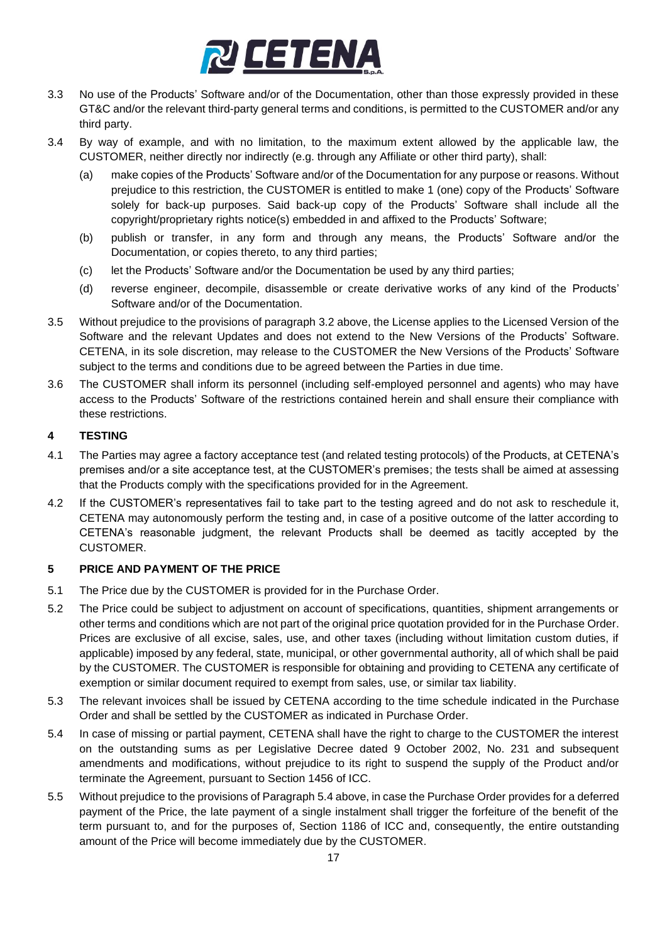

- 3.3 No use of the Products' Software and/or of the Documentation, other than those expressly provided in these GT&C and/or the relevant third-party general terms and conditions, is permitted to the CUSTOMER and/or any third party.
- 3.4 By way of example, and with no limitation, to the maximum extent allowed by the applicable law, the CUSTOMER, neither directly nor indirectly (e.g. through any Affiliate or other third party), shall:
	- (a) make copies of the Products' Software and/or of the Documentation for any purpose or reasons. Without prejudice to this restriction, the CUSTOMER is entitled to make 1 (one) copy of the Products' Software solely for back-up purposes. Said back-up copy of the Products' Software shall include all the copyright/proprietary rights notice(s) embedded in and affixed to the Products' Software;
	- (b) publish or transfer, in any form and through any means, the Products' Software and/or the Documentation, or copies thereto, to any third parties;
	- (c) let the Products' Software and/or the Documentation be used by any third parties;
	- (d) reverse engineer, decompile, disassemble or create derivative works of any kind of the Products' Software and/or of the Documentation.
- 3.5 Without prejudice to the provisions of paragraph [3.2](#page-15-1) above, the License applies to the Licensed Version of the Software and the relevant Updates and does not extend to the New Versions of the Products' Software. CETENA, in its sole discretion, may release to the CUSTOMER the New Versions of the Products' Software subject to the terms and conditions due to be agreed between the Parties in due time.
- 3.6 The CUSTOMER shall inform its personnel (including self-employed personnel and agents) who may have access to the Products' Software of the restrictions contained herein and shall ensure their compliance with these restrictions.

### **4 TESTING**

- 4.1 The Parties may agree a factory acceptance test (and related testing protocols) of the Products, at CETENA's premises and/or a site acceptance test, at the CUSTOMER's premises; the tests shall be aimed at assessing that the Products comply with the specifications provided for in the Agreement.
- 4.2 If the CUSTOMER's representatives fail to take part to the testing agreed and do not ask to reschedule it, CETENA may autonomously perform the testing and, in case of a positive outcome of the latter according to CETENA's reasonable judgment, the relevant Products shall be deemed as tacitly accepted by the CUSTOMER.

#### **5 PRICE AND PAYMENT OF THE PRICE**

- 5.1 The Price due by the CUSTOMER is provided for in the Purchase Order.
- 5.2 The Price could be subject to adjustment on account of specifications, quantities, shipment arrangements or other terms and conditions which are not part of the original price quotation provided for in the Purchase Order. Prices are exclusive of all excise, sales, use, and other taxes (including without limitation custom duties, if applicable) imposed by any federal, state, municipal, or other governmental authority, all of which shall be paid by the CUSTOMER. The CUSTOMER is responsible for obtaining and providing to CETENA any certificate of exemption or similar document required to exempt from sales, use, or similar tax liability.
- 5.3 The relevant invoices shall be issued by CETENA according to the time schedule indicated in the Purchase Order and shall be settled by the CUSTOMER as indicated in Purchase Order.
- <span id="page-16-0"></span>5.4 In case of missing or partial payment, CETENA shall have the right to charge to the CUSTOMER the interest on the outstanding sums as per Legislative Decree dated 9 October 2002, No. 231 and subsequent amendments and modifications, without prejudice to its right to suspend the supply of the Product and/or terminate the Agreement, pursuant to Section 1456 of ICC.
- 5.5 Without prejudice to the provisions of Paragrap[h 5.4](#page-16-0) above, in case the Purchase Order provides for a deferred payment of the Price, the late payment of a single instalment shall trigger the forfeiture of the benefit of the term pursuant to, and for the purposes of, Section 1186 of ICC and, consequently, the entire outstanding amount of the Price will become immediately due by the CUSTOMER.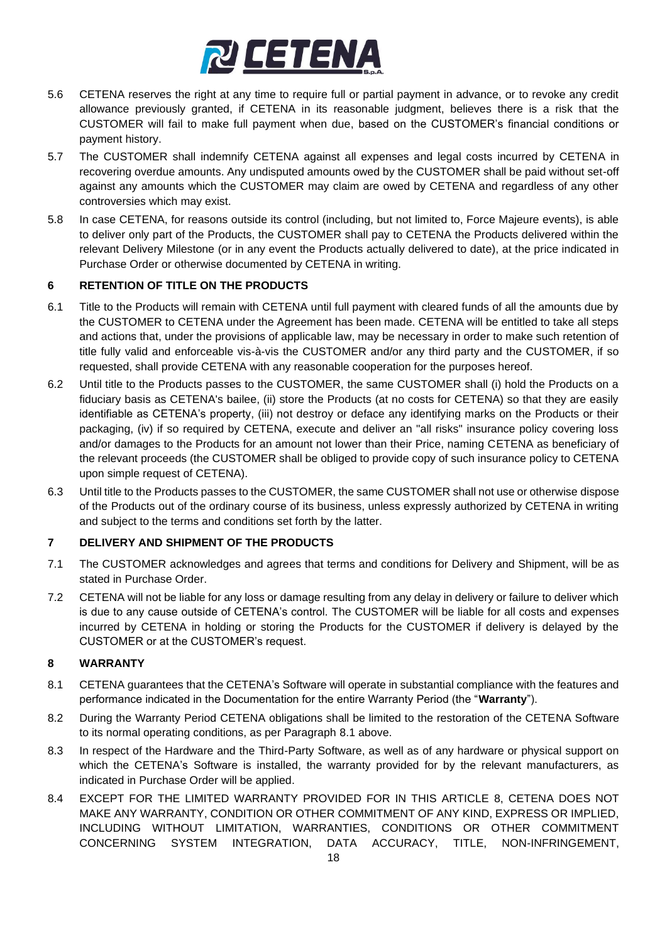

- 5.6 CETENA reserves the right at any time to require full or partial payment in advance, or to revoke any credit allowance previously granted, if CETENA in its reasonable judgment, believes there is a risk that the CUSTOMER will fail to make full payment when due, based on the CUSTOMER's financial conditions or payment history.
- 5.7 The CUSTOMER shall indemnify CETENA against all expenses and legal costs incurred by CETENA in recovering overdue amounts. Any undisputed amounts owed by the CUSTOMER shall be paid without set-off against any amounts which the CUSTOMER may claim are owed by CETENA and regardless of any other controversies which may exist.
- 5.8 In case CETENA, for reasons outside its control (including, but not limited to, Force Majeure events), is able to deliver only part of the Products, the CUSTOMER shall pay to CETENA the Products delivered within the relevant Delivery Milestone (or in any event the Products actually delivered to date), at the price indicated in Purchase Order or otherwise documented by CETENA in writing.

### **6 RETENTION OF TITLE ON THE PRODUCTS**

- 6.1 Title to the Products will remain with CETENA until full payment with cleared funds of all the amounts due by the CUSTOMER to CETENA under the Agreement has been made. CETENA will be entitled to take all steps and actions that, under the provisions of applicable law, may be necessary in order to make such retention of title fully valid and enforceable vis-à-vis the CUSTOMER and/or any third party and the CUSTOMER, if so requested, shall provide CETENA with any reasonable cooperation for the purposes hereof.
- 6.2 Until title to the Products passes to the CUSTOMER, the same CUSTOMER shall (i) hold the Products on a fiduciary basis as CETENA's bailee, (ii) store the Products (at no costs for CETENA) so that they are easily identifiable as CETENA's property, (iii) not destroy or deface any identifying marks on the Products or their packaging, (iv) if so required by CETENA, execute and deliver an "all risks" insurance policy covering loss and/or damages to the Products for an amount not lower than their Price, naming CETENA as beneficiary of the relevant proceeds (the CUSTOMER shall be obliged to provide copy of such insurance policy to CETENA upon simple request of CETENA).
- 6.3 Until title to the Products passes to the CUSTOMER, the same CUSTOMER shall not use or otherwise dispose of the Products out of the ordinary course of its business, unless expressly authorized by CETENA in writing and subject to the terms and conditions set forth by the latter.

#### **7 DELIVERY AND SHIPMENT OF THE PRODUCTS**

- 7.1 The CUSTOMER acknowledges and agrees that terms and conditions for Delivery and Shipment, will be as stated in Purchase Order.
- 7.2 CETENA will not be liable for any loss or damage resulting from any delay in delivery or failure to deliver which is due to any cause outside of CETENA's control. The CUSTOMER will be liable for all costs and expenses incurred by CETENA in holding or storing the Products for the CUSTOMER if delivery is delayed by the CUSTOMER or at the CUSTOMER's request.

#### **8 WARRANTY**

- 8.1 CETENA guarantees that the CETENA's Software will operate in substantial compliance with the features and performance indicated in the Documentation for the entire Warranty Period (the "**Warranty**").
- 8.2 During the Warranty Period CETENA obligations shall be limited to the restoration of the CETENA Software to its normal operating conditions, as per Paragraph [8.1](#page-9-1) above.
- 8.3 In respect of the Hardware and the Third-Party Software, as well as of any hardware or physical support on which the CETENA's Software is installed, the warranty provided for by the relevant manufacturers, as indicated in Purchase Order will be applied.
- 8.4 EXCEPT FOR THE LIMITED WARRANTY PROVIDED FOR IN THIS ARTICLE [8,](#page-1-0) CETENA DOES NOT MAKE ANY WARRANTY, CONDITION OR OTHER COMMITMENT OF ANY KIND, EXPRESS OR IMPLIED, INCLUDING WITHOUT LIMITATION, WARRANTIES, CONDITIONS OR OTHER COMMITMENT CONCERNING SYSTEM INTEGRATION, DATA ACCURACY, TITLE, NON-INFRINGEMENT,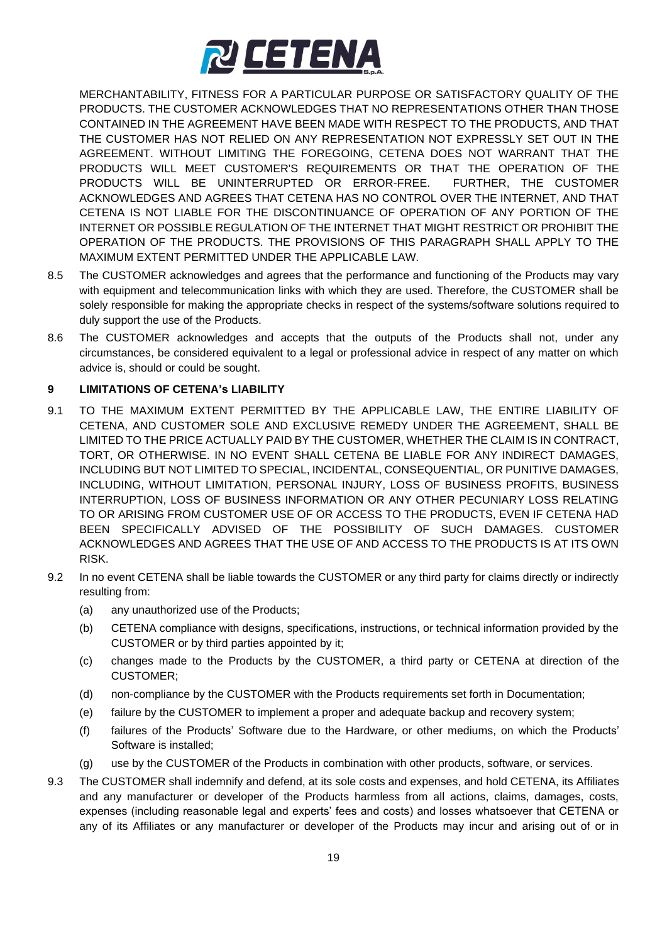

MERCHANTABILITY, FITNESS FOR A PARTICULAR PURPOSE OR SATISFACTORY QUALITY OF THE PRODUCTS. THE CUSTOMER ACKNOWLEDGES THAT NO REPRESENTATIONS OTHER THAN THOSE CONTAINED IN THE AGREEMENT HAVE BEEN MADE WITH RESPECT TO THE PRODUCTS, AND THAT THE CUSTOMER HAS NOT RELIED ON ANY REPRESENTATION NOT EXPRESSLY SET OUT IN THE AGREEMENT. WITHOUT LIMITING THE FOREGOING, CETENA DOES NOT WARRANT THAT THE PRODUCTS WILL MEET CUSTOMER'S REQUIREMENTS OR THAT THE OPERATION OF THE PRODUCTS WILL BE UNINTERRUPTED OR ERROR-FREE. FURTHER, THE CUSTOMER ACKNOWLEDGES AND AGREES THAT CETENA HAS NO CONTROL OVER THE INTERNET, AND THAT CETENA IS NOT LIABLE FOR THE DISCONTINUANCE OF OPERATION OF ANY PORTION OF THE INTERNET OR POSSIBLE REGULATION OF THE INTERNET THAT MIGHT RESTRICT OR PROHIBIT THE OPERATION OF THE PRODUCTS. THE PROVISIONS OF THIS PARAGRAPH SHALL APPLY TO THE MAXIMUM EXTENT PERMITTED UNDER THE APPLICABLE LAW.

- 8.5 The CUSTOMER acknowledges and agrees that the performance and functioning of the Products may vary with equipment and telecommunication links with which they are used. Therefore, the CUSTOMER shall be solely responsible for making the appropriate checks in respect of the systems/software solutions required to duly support the use of the Products.
- 8.6 The CUSTOMER acknowledges and accepts that the outputs of the Products shall not, under any circumstances, be considered equivalent to a legal or professional advice in respect of any matter on which advice is, should or could be sought.

#### **9 LIMITATIONS OF CETENA's LIABILITY**

- 9.1 TO THE MAXIMUM EXTENT PERMITTED BY THE APPLICABLE LAW, THE ENTIRE LIABILITY OF CETENA, AND CUSTOMER SOLE AND EXCLUSIVE REMEDY UNDER THE AGREEMENT, SHALL BE LIMITED TO THE PRICE ACTUALLY PAID BY THE CUSTOMER, WHETHER THE CLAIM IS IN CONTRACT, TORT, OR OTHERWISE. IN NO EVENT SHALL CETENA BE LIABLE FOR ANY INDIRECT DAMAGES, INCLUDING BUT NOT LIMITED TO SPECIAL, INCIDENTAL, CONSEQUENTIAL, OR PUNITIVE DAMAGES, INCLUDING, WITHOUT LIMITATION, PERSONAL INJURY, LOSS OF BUSINESS PROFITS, BUSINESS INTERRUPTION, LOSS OF BUSINESS INFORMATION OR ANY OTHER PECUNIARY LOSS RELATING TO OR ARISING FROM CUSTOMER USE OF OR ACCESS TO THE PRODUCTS, EVEN IF CETENA HAD BEEN SPECIFICALLY ADVISED OF THE POSSIBILITY OF SUCH DAMAGES. CUSTOMER ACKNOWLEDGES AND AGREES THAT THE USE OF AND ACCESS TO THE PRODUCTS IS AT ITS OWN RISK.
- 9.2 In no event CETENA shall be liable towards the CUSTOMER or any third party for claims directly or indirectly resulting from:
	- (a) any unauthorized use of the Products;
	- (b) CETENA compliance with designs, specifications, instructions, or technical information provided by the CUSTOMER or by third parties appointed by it;
	- (c) changes made to the Products by the CUSTOMER, a third party or CETENA at direction of the CUSTOMER;
	- (d) non-compliance by the CUSTOMER with the Products requirements set forth in Documentation;
	- (e) failure by the CUSTOMER to implement a proper and adequate backup and recovery system;
	- (f) failures of the Products' Software due to the Hardware, or other mediums, on which the Products' Software is installed;
	- (g) use by the CUSTOMER of the Products in combination with other products, software, or services.
- 9.3 The CUSTOMER shall indemnify and defend, at its sole costs and expenses, and hold CETENA, its Affiliates and any manufacturer or developer of the Products harmless from all actions, claims, damages, costs, expenses (including reasonable legal and experts' fees and costs) and losses whatsoever that CETENA or any of its Affiliates or any manufacturer or developer of the Products may incur and arising out of or in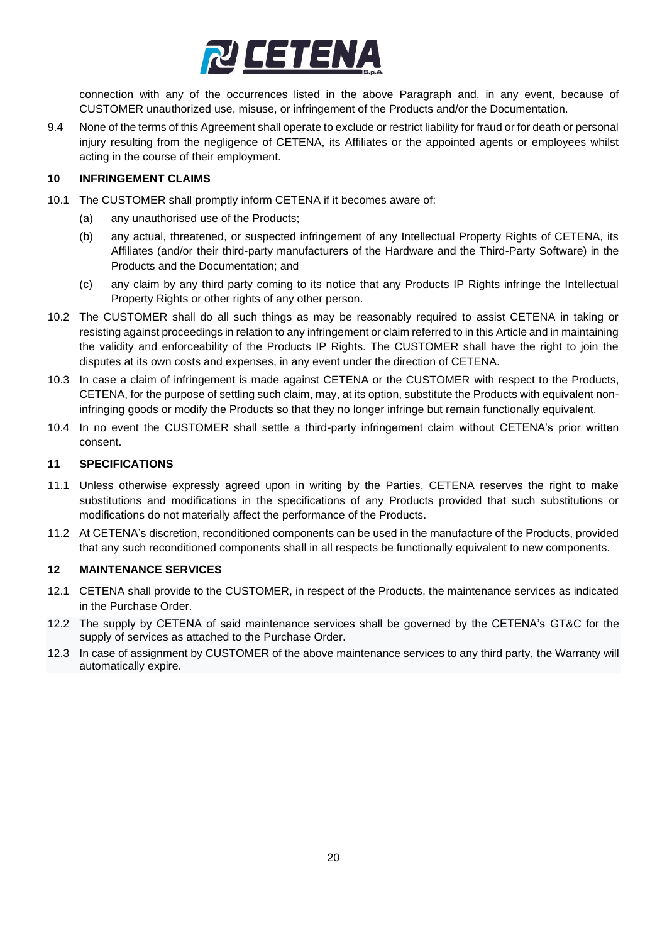

connection with any of the occurrences listed in the above Paragraph and, in any event, because of CUSTOMER unauthorized use, misuse, or infringement of the Products and/or the Documentation.

9.4 None of the terms of this Agreement shall operate to exclude or restrict liability for fraud or for death or personal injury resulting from the negligence of CETENA, its Affiliates or the appointed agents or employees whilst acting in the course of their employment.

#### **10 INFRINGEMENT CLAIMS**

- 10.1 The CUSTOMER shall promptly inform CETENA if it becomes aware of:
	- (a) any unauthorised use of the Products;
	- (b) any actual, threatened, or suspected infringement of any Intellectual Property Rights of CETENA, its Affiliates (and/or their third-party manufacturers of the Hardware and the Third-Party Software) in the Products and the Documentation; and
	- (c) any claim by any third party coming to its notice that any Products IP Rights infringe the Intellectual Property Rights or other rights of any other person.
- 10.2 The CUSTOMER shall do all such things as may be reasonably required to assist CETENA in taking or resisting against proceedings in relation to any infringement or claim referred to in this Article and in maintaining the validity and enforceability of the Products IP Rights. The CUSTOMER shall have the right to join the disputes at its own costs and expenses, in any event under the direction of CETENA.
- 10.3 In case a claim of infringement is made against CETENA or the CUSTOMER with respect to the Products, CETENA, for the purpose of settling such claim, may, at its option, substitute the Products with equivalent noninfringing goods or modify the Products so that they no longer infringe but remain functionally equivalent.
- 10.4 In no event the CUSTOMER shall settle a third-party infringement claim without CETENA's prior written consent.

#### **11 SPECIFICATIONS**

- 11.1 Unless otherwise expressly agreed upon in writing by the Parties, CETENA reserves the right to make substitutions and modifications in the specifications of any Products provided that such substitutions or modifications do not materially affect the performance of the Products.
- 11.2 At CETENA's discretion, reconditioned components can be used in the manufacture of the Products, provided that any such reconditioned components shall in all respects be functionally equivalent to new components.

#### **12 MAINTENANCE SERVICES**

- 12.1 CETENA shall provide to the CUSTOMER, in respect of the Products, the maintenance services as indicated in the Purchase Order.
- 12.2 The supply by CETENA of said maintenance services shall be governed by the CETENA's GT&C for the supply of services as attached to the Purchase Order.
- 12.3 In case of assignment by CUSTOMER of the above maintenance services to any third party, the Warranty will automatically expire.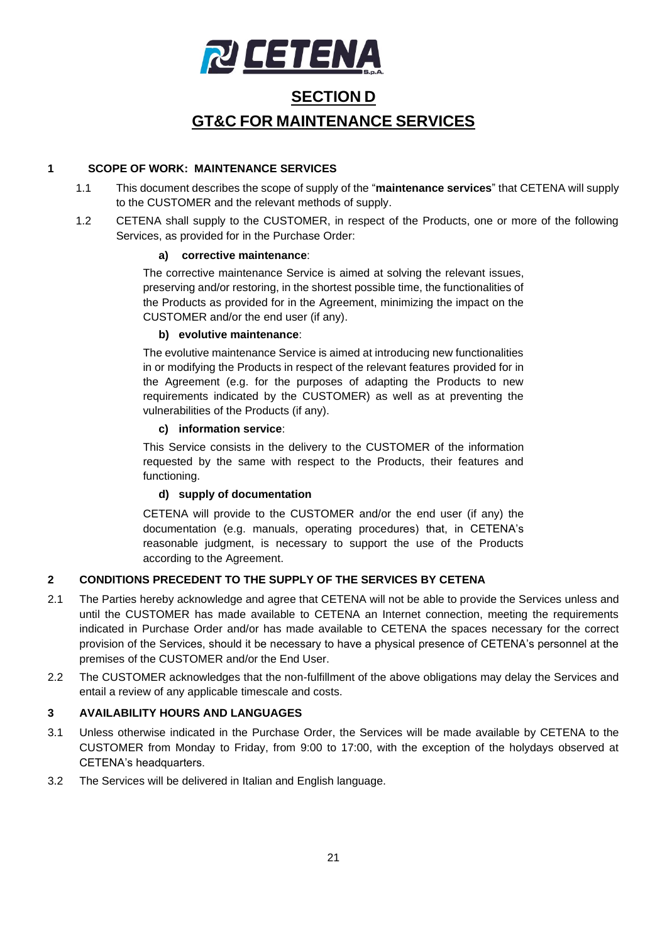

# **SECTION D GT&C FOR MAINTENANCE SERVICES**

#### **1 SCOPE OF WORK: MAINTENANCE SERVICES**

- 1.1 This document describes the scope of supply of the "**maintenance services**" that CETENA will supply to the CUSTOMER and the relevant methods of supply.
- 1.2 CETENA shall supply to the CUSTOMER, in respect of the Products, one or more of the following Services, as provided for in the Purchase Order:

#### **a) corrective maintenance**:

The corrective maintenance Service is aimed at solving the relevant issues, preserving and/or restoring, in the shortest possible time, the functionalities of the Products as provided for in the Agreement, minimizing the impact on the CUSTOMER and/or the end user (if any).

#### **b) evolutive maintenance**:

The evolutive maintenance Service is aimed at introducing new functionalities in or modifying the Products in respect of the relevant features provided for in the Agreement (e.g. for the purposes of adapting the Products to new requirements indicated by the CUSTOMER) as well as at preventing the vulnerabilities of the Products (if any).

#### **c) information service**:

This Service consists in the delivery to the CUSTOMER of the information requested by the same with respect to the Products, their features and functioning.

# **d) supply of documentation**

CETENA will provide to the CUSTOMER and/or the end user (if any) the documentation (e.g. manuals, operating procedures) that, in CETENA's reasonable judgment, is necessary to support the use of the Products according to the Agreement.

# **2 CONDITIONS PRECEDENT TO THE SUPPLY OF THE SERVICES BY CETENA**

- 2.1 The Parties hereby acknowledge and agree that CETENA will not be able to provide the Services unless and until the CUSTOMER has made available to CETENA an Internet connection, meeting the requirements indicated in Purchase Order and/or has made available to CETENA the spaces necessary for the correct provision of the Services, should it be necessary to have a physical presence of CETENA's personnel at the premises of the CUSTOMER and/or the End User.
- 2.2 The CUSTOMER acknowledges that the non-fulfillment of the above obligations may delay the Services and entail a review of any applicable timescale and costs.

# **3 AVAILABILITY HOURS AND LANGUAGES**

- 3.1 Unless otherwise indicated in the Purchase Order, the Services will be made available by CETENA to the CUSTOMER from Monday to Friday, from 9:00 to 17:00, with the exception of the holydays observed at CETENA's headquarters.
- 3.2 The Services will be delivered in Italian and English language.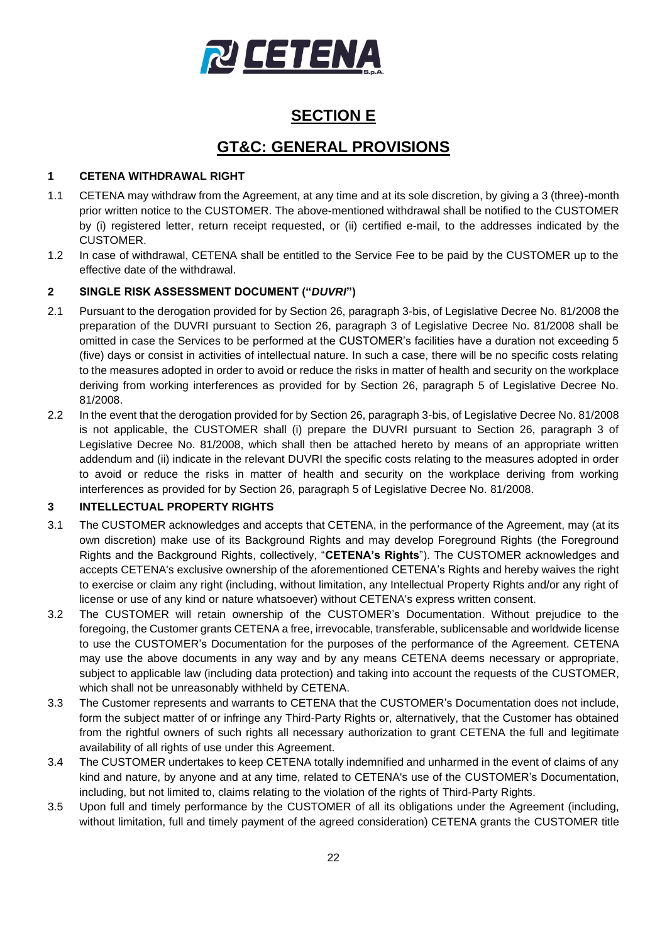

# **SECTION E**

# **GT&C: GENERAL PROVISIONS**

### <span id="page-21-2"></span>**1 CETENA WITHDRAWAL RIGHT**

- 1.1 CETENA may withdraw from the Agreement, at any time and at its sole discretion, by giving a 3 (three)-month prior written notice to the CUSTOMER. The above-mentioned withdrawal shall be notified to the CUSTOMER by (i) registered letter, return receipt requested, or (ii) certified e-mail, to the addresses indicated by the CUSTOMER.
- 1.2 In case of withdrawal, CETENA shall be entitled to the Service Fee to be paid by the CUSTOMER up to the effective date of the withdrawal.

### <span id="page-21-1"></span>**2 SINGLE RISK ASSESSMENT DOCUMENT ("***DUVRI***")**

- 2.1 Pursuant to the derogation provided for by Section 26, paragraph 3-bis, of Legislative Decree No. 81/2008 the preparation of the DUVRI pursuant to Section 26, paragraph 3 of Legislative Decree No. 81/2008 shall be omitted in case the Services to be performed at the CUSTOMER's facilities have a duration not exceeding 5 (five) days or consist in activities of intellectual nature. In such a case, there will be no specific costs relating to the measures adopted in order to avoid or reduce the risks in matter of health and security on the workplace deriving from working interferences as provided for by Section 26, paragraph 5 of Legislative Decree No. 81/2008.
- 2.2 In the event that the derogation provided for by Section 26, paragraph 3-bis, of Legislative Decree No. 81/2008 is not applicable, the CUSTOMER shall (i) prepare the DUVRI pursuant to Section 26, paragraph 3 of Legislative Decree No. 81/2008, which shall then be attached hereto by means of an appropriate written addendum and (ii) indicate in the relevant DUVRI the specific costs relating to the measures adopted in order to avoid or reduce the risks in matter of health and security on the workplace deriving from working interferences as provided for by Section 26, paragraph 5 of Legislative Decree No. 81/2008.

#### <span id="page-21-0"></span>**3 INTELLECTUAL PROPERTY RIGHTS**

- 3.1 The CUSTOMER acknowledges and accepts that CETENA, in the performance of the Agreement, may (at its own discretion) make use of its Background Rights and may develop Foreground Rights (the Foreground Rights and the Background Rights, collectively, "**CETENA's Rights**"). The CUSTOMER acknowledges and accepts CETENA's exclusive ownership of the aforementioned CETENA's Rights and hereby waives the right to exercise or claim any right (including, without limitation, any Intellectual Property Rights and/or any right of license or use of any kind or nature whatsoever) without CETENA's express written consent.
- 3.2 The CUSTOMER will retain ownership of the CUSTOMER's Documentation. Without prejudice to the foregoing, the Customer grants CETENA a free, irrevocable, transferable, sublicensable and worldwide license to use the CUSTOMER's Documentation for the purposes of the performance of the Agreement. CETENA may use the above documents in any way and by any means CETENA deems necessary or appropriate, subject to applicable law (including data protection) and taking into account the requests of the CUSTOMER, which shall not be unreasonably withheld by CETENA.
- 3.3 The Customer represents and warrants to CETENA that the CUSTOMER's Documentation does not include, form the subject matter of or infringe any Third-Party Rights or, alternatively, that the Customer has obtained from the rightful owners of such rights all necessary authorization to grant CETENA the full and legitimate availability of all rights of use under this Agreement.
- 3.4 The CUSTOMER undertakes to keep CETENA totally indemnified and unharmed in the event of claims of any kind and nature, by anyone and at any time, related to CETENA's use of the CUSTOMER's Documentation, including, but not limited to, claims relating to the violation of the rights of Third-Party Rights.
- 3.5 Upon full and timely performance by the CUSTOMER of all its obligations under the Agreement (including, without limitation, full and timely payment of the agreed consideration) CETENA grants the CUSTOMER title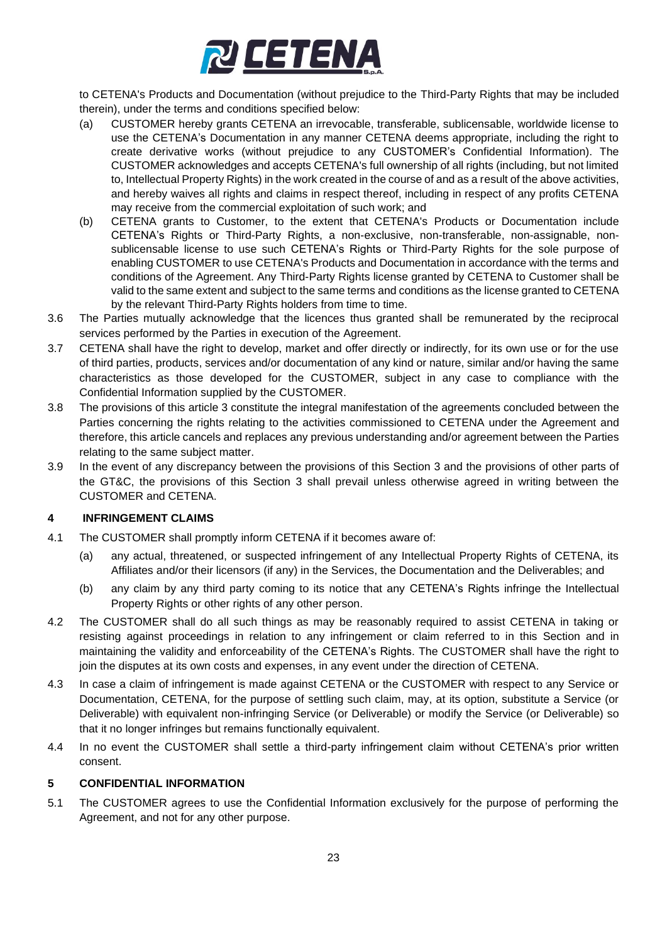

to CETENA's Products and Documentation (without prejudice to the Third-Party Rights that may be included therein), under the terms and conditions specified below:

- (a) CUSTOMER hereby grants CETENA an irrevocable, transferable, sublicensable, worldwide license to use the CETENA's Documentation in any manner CETENA deems appropriate, including the right to create derivative works (without prejudice to any CUSTOMER's Confidential Information). The CUSTOMER acknowledges and accepts CETENA's full ownership of all rights (including, but not limited to, Intellectual Property Rights) in the work created in the course of and as a result of the above activities, and hereby waives all rights and claims in respect thereof, including in respect of any profits CETENA may receive from the commercial exploitation of such work; and
- (b) CETENA grants to Customer, to the extent that CETENA's Products or Documentation include CETENA's Rights or Third-Party Rights, a non-exclusive, non-transferable, non-assignable, nonsublicensable license to use such CETENA's Rights or Third-Party Rights for the sole purpose of enabling CUSTOMER to use CETENA's Products and Documentation in accordance with the terms and conditions of the Agreement. Any Third-Party Rights license granted by CETENA to Customer shall be valid to the same extent and subject to the same terms and conditions as the license granted to CETENA by the relevant Third-Party Rights holders from time to time.
- 3.6 The Parties mutually acknowledge that the licences thus granted shall be remunerated by the reciprocal services performed by the Parties in execution of the Agreement.
- 3.7 CETENA shall have the right to develop, market and offer directly or indirectly, for its own use or for the use of third parties, products, services and/or documentation of any kind or nature, similar and/or having the same characteristics as those developed for the CUSTOMER, subject in any case to compliance with the Confidential Information supplied by the CUSTOMER.
- 3.8 The provisions of this article [3](#page-21-0) constitute the integral manifestation of the agreements concluded between the Parties concerning the rights relating to the activities commissioned to CETENA under the Agreement and therefore, this article cancels and replaces any previous understanding and/or agreement between the Parties relating to the same subject matter.
- 3.9 In the event of any discrepancy between the provisions of this Section [3](#page-21-0) and the provisions of other parts of the GT&C, the provisions of this Section [3](#page-21-0) shall prevail unless otherwise agreed in writing between the CUSTOMER and CETENA.

# **4 INFRINGEMENT CLAIMS**

- 4.1 The CUSTOMER shall promptly inform CETENA if it becomes aware of:
	- (a) any actual, threatened, or suspected infringement of any Intellectual Property Rights of CETENA, its Affiliates and/or their licensors (if any) in the Services, the Documentation and the Deliverables; and
	- (b) any claim by any third party coming to its notice that any CETENA's Rights infringe the Intellectual Property Rights or other rights of any other person.
- 4.2 The CUSTOMER shall do all such things as may be reasonably required to assist CETENA in taking or resisting against proceedings in relation to any infringement or claim referred to in this Section and in maintaining the validity and enforceability of the CETENA's Rights. The CUSTOMER shall have the right to join the disputes at its own costs and expenses, in any event under the direction of CETENA.
- 4.3 In case a claim of infringement is made against CETENA or the CUSTOMER with respect to any Service or Documentation, CETENA, for the purpose of settling such claim, may, at its option, substitute a Service (or Deliverable) with equivalent non-infringing Service (or Deliverable) or modify the Service (or Deliverable) so that it no longer infringes but remains functionally equivalent.
- 4.4 In no event the CUSTOMER shall settle a third-party infringement claim without CETENA's prior written consent.

#### <span id="page-22-0"></span>**5 CONFIDENTIAL INFORMATION**

5.1 The CUSTOMER agrees to use the Confidential Information exclusively for the purpose of performing the Agreement, and not for any other purpose.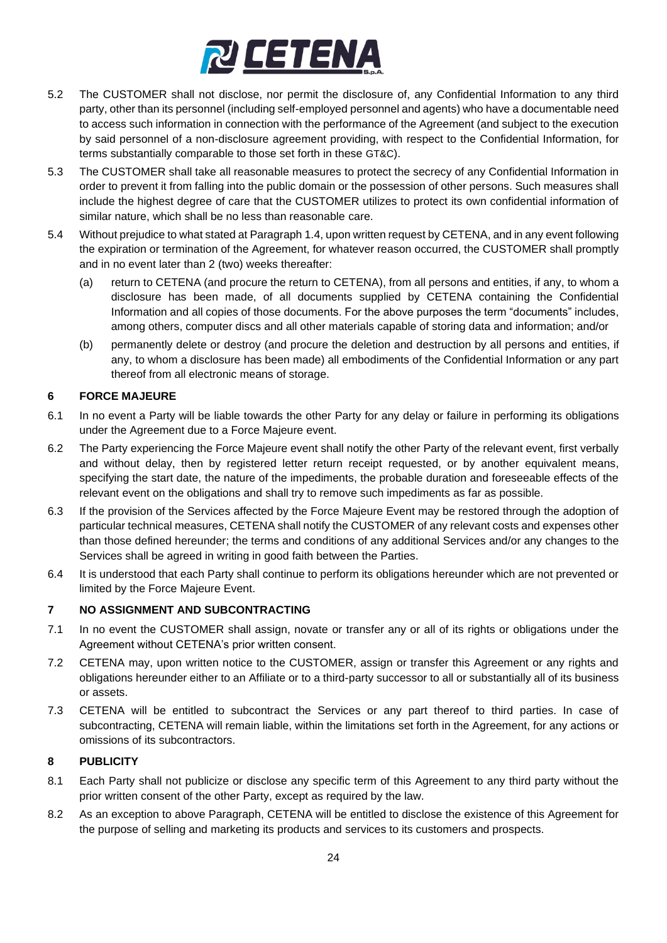

- 5.2 The CUSTOMER shall not disclose, nor permit the disclosure of, any Confidential Information to any third party, other than its personnel (including self-employed personnel and agents) who have a documentable need to access such information in connection with the performance of the Agreement (and subject to the execution by said personnel of a non-disclosure agreement providing, with respect to the Confidential Information, for terms substantially comparable to those set forth in these GT&C).
- 5.3 The CUSTOMER shall take all reasonable measures to protect the secrecy of any Confidential Information in order to prevent it from falling into the public domain or the possession of other persons. Such measures shall include the highest degree of care that the CUSTOMER utilizes to protect its own confidential information of similar nature, which shall be no less than reasonable care.
- 5.4 Without prejudice to what stated at Paragraph 1.4, upon written request by CETENA, and in any event following the expiration or termination of the Agreement, for whatever reason occurred, the CUSTOMER shall promptly and in no event later than 2 (two) weeks thereafter:
	- (a) return to CETENA (and procure the return to CETENA), from all persons and entities, if any, to whom a disclosure has been made, of all documents supplied by CETENA containing the Confidential Information and all copies of those documents. For the above purposes the term "documents" includes, among others, computer discs and all other materials capable of storing data and information; and/or
	- (b) permanently delete or destroy (and procure the deletion and destruction by all persons and entities, if any, to whom a disclosure has been made) all embodiments of the Confidential Information or any part thereof from all electronic means of storage.

### **6 FORCE MAJEURE**

- 6.1 In no event a Party will be liable towards the other Party for any delay or failure in performing its obligations under the Agreement due to a Force Majeure event.
- 6.2 The Party experiencing the Force Majeure event shall notify the other Party of the relevant event, first verbally and without delay, then by registered letter return receipt requested, or by another equivalent means, specifying the start date, the nature of the impediments, the probable duration and foreseeable effects of the relevant event on the obligations and shall try to remove such impediments as far as possible.
- 6.3 If the provision of the Services affected by the Force Majeure Event may be restored through the adoption of particular technical measures, CETENA shall notify the CUSTOMER of any relevant costs and expenses other than those defined hereunder; the terms and conditions of any additional Services and/or any changes to the Services shall be agreed in writing in good faith between the Parties.
- 6.4 It is understood that each Party shall continue to perform its obligations hereunder which are not prevented or limited by the Force Majeure Event.

# <span id="page-23-0"></span>**7 NO ASSIGNMENT AND SUBCONTRACTING**

- 7.1 In no event the CUSTOMER shall assign, novate or transfer any or all of its rights or obligations under the Agreement without CETENA's prior written consent.
- 7.2 CETENA may, upon written notice to the CUSTOMER, assign or transfer this Agreement or any rights and obligations hereunder either to an Affiliate or to a third-party successor to all or substantially all of its business or assets.
- 7.3 CETENA will be entitled to subcontract the Services or any part thereof to third parties. In case of subcontracting, CETENA will remain liable, within the limitations set forth in the Agreement, for any actions or omissions of its subcontractors.

#### **8 PUBLICITY**

- 8.1 Each Party shall not publicize or disclose any specific term of this Agreement to any third party without the prior written consent of the other Party, except as required by the law.
- 8.2 As an exception to above Paragraph, CETENA will be entitled to disclose the existence of this Agreement for the purpose of selling and marketing its products and services to its customers and prospects.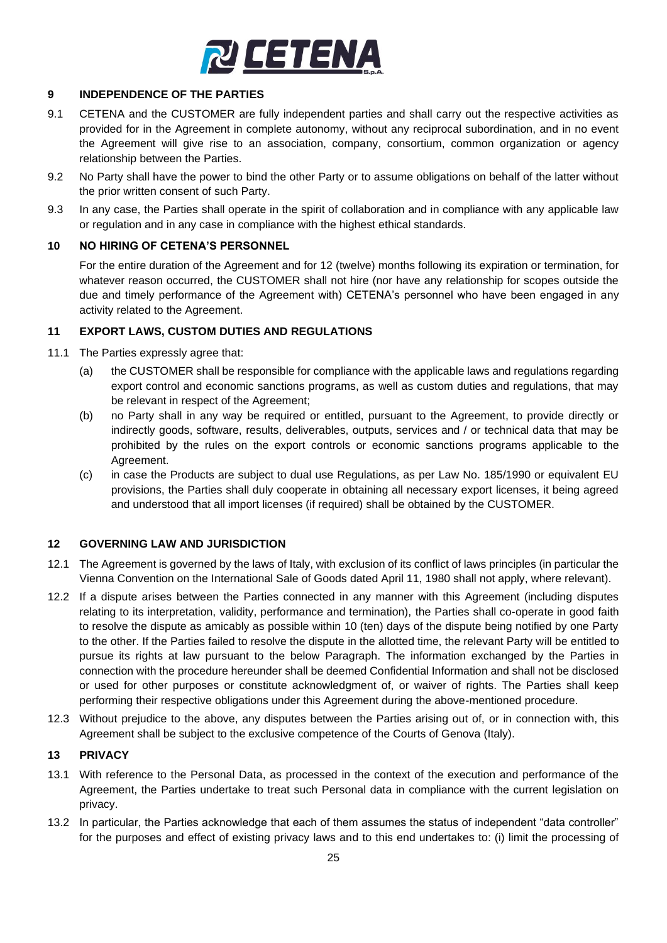

#### **9 INDEPENDENCE OF THE PARTIES**

- 9.1 CETENA and the CUSTOMER are fully independent parties and shall carry out the respective activities as provided for in the Agreement in complete autonomy, without any reciprocal subordination, and in no event the Agreement will give rise to an association, company, consortium, common organization or agency relationship between the Parties.
- 9.2 No Party shall have the power to bind the other Party or to assume obligations on behalf of the latter without the prior written consent of such Party.
- 9.3 In any case, the Parties shall operate in the spirit of collaboration and in compliance with any applicable law or regulation and in any case in compliance with the highest ethical standards.

### <span id="page-24-0"></span>**10 NO HIRING OF CETENA'S PERSONNEL**

For the entire duration of the Agreement and for 12 (twelve) months following its expiration or termination, for whatever reason occurred, the CUSTOMER shall not hire (nor have any relationship for scopes outside the due and timely performance of the Agreement with) CETENA's personnel who have been engaged in any activity related to the Agreement.

#### **11 EXPORT LAWS, CUSTOM DUTIES AND REGULATIONS**

- 11.1 The Parties expressly agree that:
	- (a) the CUSTOMER shall be responsible for compliance with the applicable laws and regulations regarding export control and economic sanctions programs, as well as custom duties and regulations, that may be relevant in respect of the Agreement;
	- (b) no Party shall in any way be required or entitled, pursuant to the Agreement, to provide directly or indirectly goods, software, results, deliverables, outputs, services and / or technical data that may be prohibited by the rules on the export controls or economic sanctions programs applicable to the Agreement.
	- (c) in case the Products are subject to dual use Regulations, as per Law No. 185/1990 or equivalent EU provisions, the Parties shall duly cooperate in obtaining all necessary export licenses, it being agreed and understood that all import licenses (if required) shall be obtained by the CUSTOMER.

#### <span id="page-24-1"></span>**12 GOVERNING LAW AND JURISDICTION**

- 12.1 The Agreement is governed by the laws of Italy, with exclusion of its conflict of laws principles (in particular the Vienna Convention on the International Sale of Goods dated April 11, 1980 shall not apply, where relevant).
- 12.2 If a dispute arises between the Parties connected in any manner with this Agreement (including disputes relating to its interpretation, validity, performance and termination), the Parties shall co-operate in good faith to resolve the dispute as amicably as possible within 10 (ten) days of the dispute being notified by one Party to the other. If the Parties failed to resolve the dispute in the allotted time, the relevant Party will be entitled to pursue its rights at law pursuant to the below Paragraph. The information exchanged by the Parties in connection with the procedure hereunder shall be deemed Confidential Information and shall not be disclosed or used for other purposes or constitute acknowledgment of, or waiver of rights. The Parties shall keep performing their respective obligations under this Agreement during the above-mentioned procedure.
- 12.3 Without prejudice to the above, any disputes between the Parties arising out of, or in connection with, this Agreement shall be subject to the exclusive competence of the Courts of Genova (Italy).

#### **13 PRIVACY**

- 13.1 With reference to the Personal Data, as processed in the context of the execution and performance of the Agreement, the Parties undertake to treat such Personal data in compliance with the current legislation on privacy.
- 13.2 In particular, the Parties acknowledge that each of them assumes the status of independent "data controller" for the purposes and effect of existing privacy laws and to this end undertakes to: (i) limit the processing of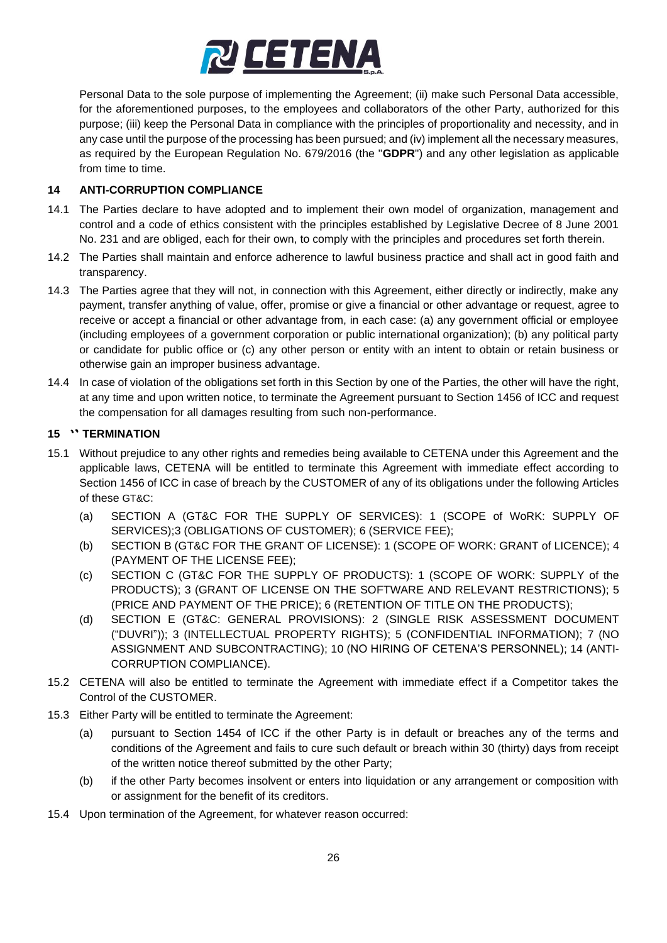

Personal Data to the sole purpose of implementing the Agreement; (ii) make such Personal Data accessible, for the aforementioned purposes, to the employees and collaborators of the other Party, authorized for this purpose; (iii) keep the Personal Data in compliance with the principles of proportionality and necessity, and in any case until the purpose of the processing has been pursued; and (iv) implement all the necessary measures, as required by the European Regulation No. 679/2016 (the "**GDPR**") and any other legislation as applicable from time to time.

#### <span id="page-25-0"></span>**14 ANTI-CORRUPTION COMPLIANCE**

- 14.1 The Parties declare to have adopted and to implement their own model of organization, management and control and a code of ethics consistent with the principles established by Legislative Decree of 8 June 2001 No. 231 and are obliged, each for their own, to comply with the principles and procedures set forth therein.
- 14.2 The Parties shall maintain and enforce adherence to lawful business practice and shall act in good faith and transparency.
- 14.3 The Parties agree that they will not, in connection with this Agreement, either directly or indirectly, make any payment, transfer anything of value, offer, promise or give a financial or other advantage or request, agree to receive or accept a financial or other advantage from, in each case: (a) any government official or employee (including employees of a government corporation or public international organization); (b) any political party or candidate for public office or (c) any other person or entity with an intent to obtain or retain business or otherwise gain an improper business advantage.
- 14.4 In case of violation of the obligations set forth in this Section by one of the Parties, the other will have the right, at any time and upon written notice, to terminate the Agreement pursuant to Section 1456 of ICC and request the compensation for all damages resulting from such non-performance.

### 15 **\*\* TERMINATION**

- 15.1 Without prejudice to any other rights and remedies being available to CETENA under this Agreement and the applicable laws, CETENA will be entitled to terminate this Agreement with immediate effect according to Section 1456 of ICC in case of breach by the CUSTOMER of any of its obligations under the following Articles of these GT&C:
	- (a) SECTION A (GT&C FOR THE SUPPLY OF SERVICES): [1](#page-1-1) [\(SCOPE of WoRK: SUPPLY OF](#page-1-1)  [SERVICES\)](#page-1-1)[;3](#page-1-2) [\(OBLIGATIONS OF CUSTOMER\)](#page-1-2); [6](#page-1-3) [\(SERVICE FEE\)](#page-1-3);
	- (b) SECTION B (GT&C FOR THE GRANT OF LICENSE): [1](#page-1-4) [\(SCOPE OF WORK: GRANT of LICENCE\)](#page-1-4); [4](#page-1-5) [\(PAYMENT OF THE LICENSE FEE\)](#page-1-5);
	- (c) SECTION C (GT&C FOR THE SUPPLY OF PRODUCTS): [1](#page-1-6) [\(SCOPE OF WORK: SUPPLY of the](#page-1-6)  [PRODUCTS\)](#page-1-6); [3](#page-1-7) [\(GRANT OF LICENSE ON THE SOFTWARE AND RELEVANT RESTRICTIONS\)](#page-1-7); [5](#page-1-8) [\(PRICE AND PAYMENT OF THE PRICE\)](#page-1-8); [6](#page-1-9) [\(RETENTION OF TITLE ON THE PRODUCTS\)](#page-1-9);
	- (d) SECTION E (GT&C: GENERAL PROVISIONS): [2](#page-21-1) [\(SINGLE RISK ASSESSMENT DOCUMENT](#page-21-1)  [\("DUVRI"\)\)](#page-21-1); [3](#page-21-0) [\(INTELLECTUAL PROPERTY RIGHTS\)](#page-21-0); [5](#page-22-0) [\(CONFIDENTIAL INFORMATION\)](#page-22-0); [7](#page-23-0) [\(NO](#page-23-0)  [ASSIGNMENT AND SUBCONTRACTING\)](#page-23-0); [10](#page-24-0) [\(NO HIRING OF CETENA'S PERSONNEL\)](#page-24-0); [14](#page-25-0) [\(ANTI-](#page-25-0)[CORRUPTION COMPLIANCE\)](#page-25-0).
- 15.2 CETENA will also be entitled to terminate the Agreement with immediate effect if a Competitor takes the Control of the CUSTOMER.
- 15.3 Either Party will be entitled to terminate the Agreement:
	- (a) pursuant to Section 1454 of ICC if the other Party is in default or breaches any of the terms and conditions of the Agreement and fails to cure such default or breach within 30 (thirty) days from receipt of the written notice thereof submitted by the other Party;
	- (b) if the other Party becomes insolvent or enters into liquidation or any arrangement or composition with or assignment for the benefit of its creditors.
- 15.4 Upon termination of the Agreement, for whatever reason occurred: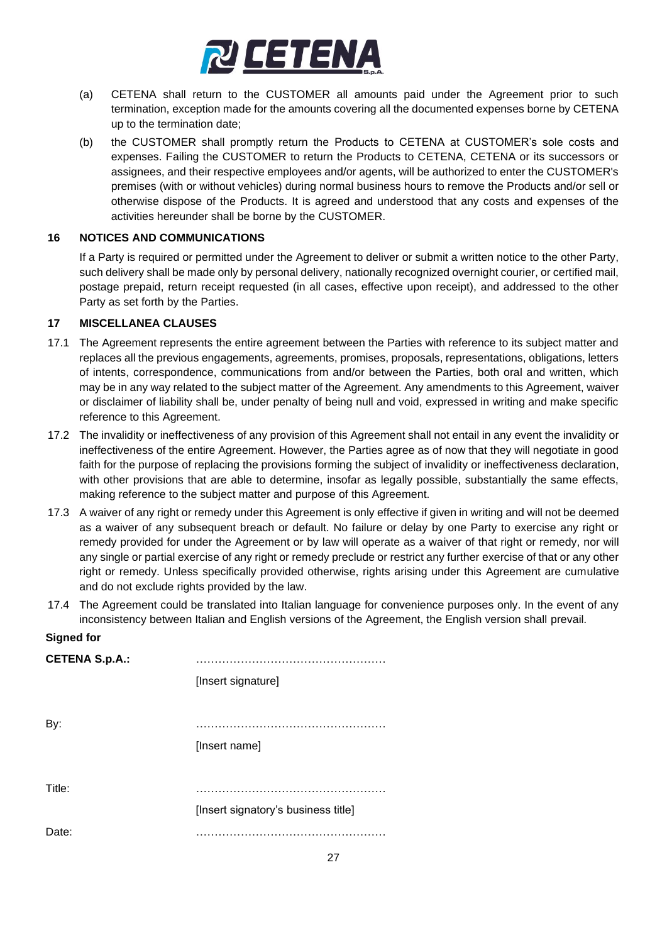

- (a) CETENA shall return to the CUSTOMER all amounts paid under the Agreement prior to such termination, exception made for the amounts covering all the documented expenses borne by CETENA up to the termination date;
- (b) the CUSTOMER shall promptly return the Products to CETENA at CUSTOMER's sole costs and expenses. Failing the CUSTOMER to return the Products to CETENA, CETENA or its successors or assignees, and their respective employees and/or agents, will be authorized to enter the CUSTOMER's premises (with or without vehicles) during normal business hours to remove the Products and/or sell or otherwise dispose of the Products. It is agreed and understood that any costs and expenses of the activities hereunder shall be borne by the CUSTOMER.

#### **16 NOTICES AND COMMUNICATIONS**

If a Party is required or permitted under the Agreement to deliver or submit a written notice to the other Party, such delivery shall be made only by personal delivery, nationally recognized overnight courier, or certified mail, postage prepaid, return receipt requested (in all cases, effective upon receipt), and addressed to the other Party as set forth by the Parties.

#### **17 MISCELLANEA CLAUSES**

- 17.1 The Agreement represents the entire agreement between the Parties with reference to its subject matter and replaces all the previous engagements, agreements, promises, proposals, representations, obligations, letters of intents, correspondence, communications from and/or between the Parties, both oral and written, which may be in any way related to the subject matter of the Agreement. Any amendments to this Agreement, waiver or disclaimer of liability shall be, under penalty of being null and void, expressed in writing and make specific reference to this Agreement.
- 17.2 The invalidity or ineffectiveness of any provision of this Agreement shall not entail in any event the invalidity or ineffectiveness of the entire Agreement. However, the Parties agree as of now that they will negotiate in good faith for the purpose of replacing the provisions forming the subject of invalidity or ineffectiveness declaration, with other provisions that are able to determine, insofar as legally possible, substantially the same effects, making reference to the subject matter and purpose of this Agreement.
- 17.3 A waiver of any right or remedy under this Agreement is only effective if given in writing and will not be deemed as a waiver of any subsequent breach or default. No failure or delay by one Party to exercise any right or remedy provided for under the Agreement or by law will operate as a waiver of that right or remedy, nor will any single or partial exercise of any right or remedy preclude or restrict any further exercise of that or any other right or remedy. Unless specifically provided otherwise, rights arising under this Agreement are cumulative and do not exclude rights provided by the law.
- 17.4 The Agreement could be translated into Italian language for convenience purposes only. In the event of any inconsistency between Italian and English versions of the Agreement, the English version shall prevail.

#### **Signed for**

| <b>CETENA S.p.A.:</b> |                                     |
|-----------------------|-------------------------------------|
|                       | [Insert signature]                  |
|                       |                                     |
| By:                   |                                     |
|                       | [Insert name]                       |
|                       |                                     |
| Title:                |                                     |
|                       | [Insert signatory's business title] |
| Date:                 |                                     |
|                       |                                     |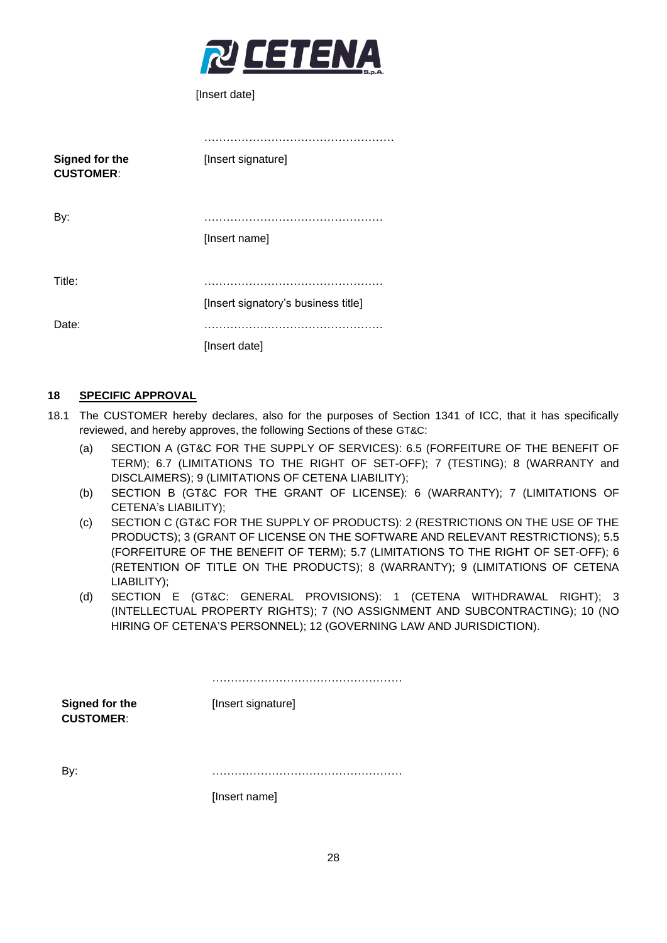

[Insert date]

| Signed for the<br><b>CUSTOMER:</b> | [Insert signature]                  |
|------------------------------------|-------------------------------------|
| By:                                | [Insert name]                       |
| Title:                             | [Insert signatory's business title] |
| Date:                              | [Insert date]                       |

#### **18 SPECIFIC APPROVAL**

- 18.1 The CUSTOMER hereby declares, also for the purposes of Section 1341 of ICC, that it has specifically reviewed, and hereby approves, the following Sections of these GT&C:
	- (a) SECTION A (GT&C FOR THE SUPPLY OF SERVICES): 6.5 (FORFEITURE OF THE BENEFIT OF TERM); 6.7 (LIMITATIONS TO THE RIGHT OF SET-OFF); [7](#page-1-10) [\(TESTING\)](#page-1-10); [8](#page-1-0) [\(WARRANTY and](#page-1-0)  [DISCLAIMERS\)](#page-1-0); [9](#page-1-11) [\(LIMITATIONS OF CETENA LIABILITY\)](#page-1-11);
	- (b) SECTION B (GT&C FOR THE GRANT OF LICENSE): [6](#page-1-12) [\(WARRANTY\)](#page-1-12); [7](#page-1-13) [\(LIMITATIONS OF](#page-1-13)  CETENA's [LIABILITY\)](#page-1-13);
	- (c) SECTION C (GT&C FOR THE SUPPLY OF PRODUCTS): [2](#page-1-14) [\(RESTRICTIONS ON THE USE OF THE](#page-1-14)  [PRODUCTS\)](#page-1-14); [3](#page-1-7) [\(GRANT OF LICENSE ON THE SOFTWARE AND RELEVANT RESTRICTIONS\)](#page-1-7); 5.5 (FORFEITURE OF THE BENEFIT OF TERM); 5.7 (LIMITATIONS TO THE RIGHT OF SET-OFF); [6](#page-1-9) [\(RETENTION OF TITLE ON THE PRODUCTS\)](#page-1-9); [8](#page-1-15) [\(WARRANTY\)](#page-1-15); [9](#page-1-16) [\(LIMITATIONS OF CETENA](#page-1-16)  [LIABILITY\)](#page-1-16);
	- (d) SECTION E (GT&C: GENERAL PROVISIONS): [1](#page-21-2) [\(CETENA WITHDRAWAL RIGHT\)](#page-21-2); [3](#page-21-0) [\(INTELLECTUAL PROPERTY RIGHTS\)](#page-21-0); [7](#page-23-0) [\(NO ASSIGNMENT AND SUBCONTRACTING\)](#page-23-0); [10](#page-24-0) [\(NO](#page-24-0)  [HIRING OF CETENA'S PERSONNEL\)](#page-24-0); [12](#page-24-1) [\(GOVERNING LAW AND JURISDICTION\)](#page-24-1).

**Signed for the CUSTOMER**: …………………………………………… [Insert signature] By: ……………………………………………

[Insert name]